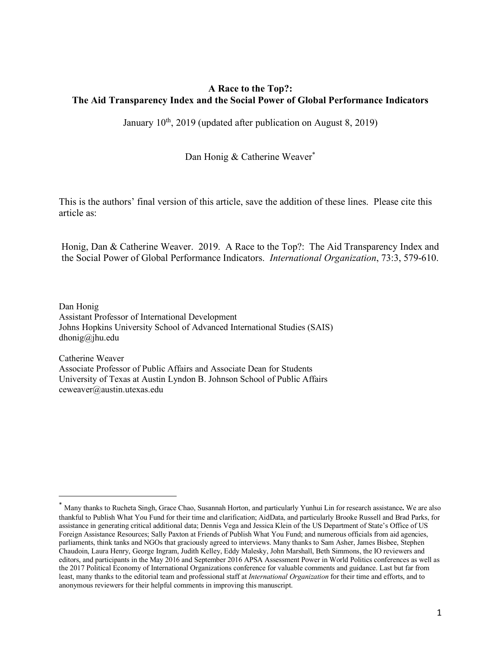# **A Race to the Top?: The Aid Transparency Index and the Social Power of Global Performance Indicators**

January  $10^{th}$ ,  $2019$  (updated after publication on August 8, 2019)

Dan Honig & Catherine Weaver\*

This is the authors' final version of this article, save the addition of these lines. Please cite this article as:

Honig, Dan & Catherine Weaver. 2019. A Race to the Top?: The Aid Transparency Index and the Social Power of Global Performance Indicators. *International Organization*, 73:3, 579-610.

Dan Honig Assistant Professor of International Development Johns Hopkins University School of Advanced International Studies (SAIS) dhonig@jhu.edu

Catherine Weaver Associate Professor of Public Affairs and Associate Dean for Students University of Texas at Austin Lyndon B. Johnson School of Public Affairs ceweaver@austin.utexas.edu

 <sup>\*</sup> Many thanks to Rucheta Singh, Grace Chao, Susannah Horton, and particularly Yunhui Lin for research assistance**.** We are also thankful to Publish What You Fund for their time and clarification; AidData, and particularly Brooke Russell and Brad Parks, for assistance in generating critical additional data; Dennis Vega and Jessica Klein of the US Department of State's Office of US Foreign Assistance Resources; Sally Paxton at Friends of Publish What You Fund; and numerous officials from aid agencies, parliaments, think tanks and NGOs that graciously agreed to interviews. Many thanks to Sam Asher, James Bisbee, Stephen Chaudoin, Laura Henry, George Ingram, Judith Kelley, Eddy Malesky, John Marshall, Beth Simmons, the IO reviewers and editors, and participants in the May 2016 and September 2016 APSA Assessment Power in World Politics conferences as well as the 2017 Political Economy of International Organizations conference for valuable comments and guidance. Last but far from least, many thanks to the editorial team and professional staff at *International Organization* for their time and efforts, and to anonymous reviewers for their helpful comments in improving this manuscript.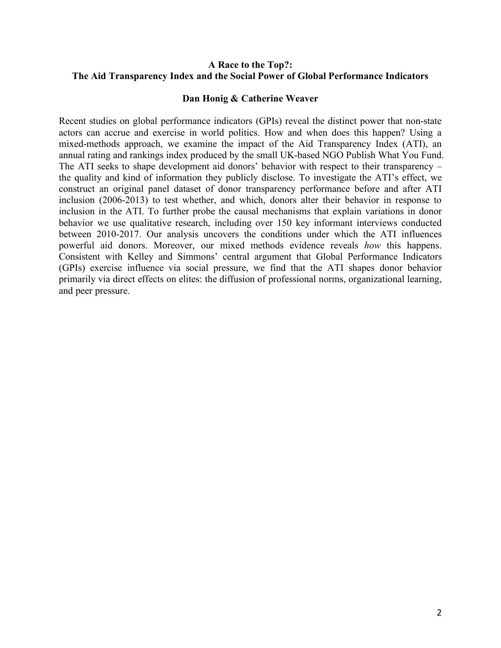# **A Race to the Top?: The Aid Transparency Index and the Social Power of Global Performance Indicators**

### **Dan Honig & Catherine Weaver**

Recent studies on global performance indicators (GPIs) reveal the distinct power that non-state actors can accrue and exercise in world politics. How and when does this happen? Using a mixed-methods approach, we examine the impact of the Aid Transparency Index (ATI), an annual rating and rankings index produced by the small UK-based NGO Publish What You Fund. The ATI seeks to shape development aid donors' behavior with respect to their transparency – the quality and kind of information they publicly disclose. To investigate the ATI's effect, we construct an original panel dataset of donor transparency performance before and after ATI inclusion (2006-2013) to test whether, and which, donors alter their behavior in response to inclusion in the ATI. To further probe the causal mechanisms that explain variations in donor behavior we use qualitative research, including over 150 key informant interviews conducted between 2010-2017. Our analysis uncovers the conditions under which the ATI influences powerful aid donors. Moreover, our mixed methods evidence reveals *how* this happens. Consistent with Kelley and Simmons' central argument that Global Performance Indicators (GPIs) exercise influence via social pressure, we find that the ATI shapes donor behavior primarily via direct effects on elites: the diffusion of professional norms, organizational learning, and peer pressure.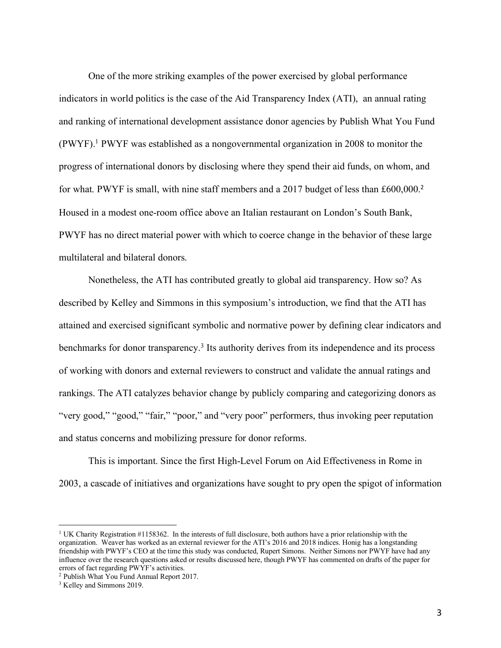One of the more striking examples of the power exercised by global performance indicators in world politics is the case of the Aid Transparency Index (ATI), an annual rating and ranking of international development assistance donor agencies by Publish What You Fund (PWYF).1 PWYF was established as a nongovernmental organization in 2008 to monitor the progress of international donors by disclosing where they spend their aid funds, on whom, and for what. PWYF is small, with nine staff members and a 2017 budget of less than £600,000.<sup>2</sup> Housed in a modest one-room office above an Italian restaurant on London's South Bank, PWYF has no direct material power with which to coerce change in the behavior of these large multilateral and bilateral donors.

Nonetheless, the ATI has contributed greatly to global aid transparency. How so? As described by Kelley and Simmons in this symposium's introduction, we find that the ATI has attained and exercised significant symbolic and normative power by defining clear indicators and benchmarks for donor transparency.3 Its authority derives from its independence and its process of working with donors and external reviewers to construct and validate the annual ratings and rankings. The ATI catalyzes behavior change by publicly comparing and categorizing donors as "very good," "good," "fair," "poor," and "very poor" performers, thus invoking peer reputation and status concerns and mobilizing pressure for donor reforms.

This is important. Since the first High-Level Forum on Aid Effectiveness in Rome in 2003, a cascade of initiatives and organizations have sought to pry open the spigot of information

<sup>&</sup>lt;sup>1</sup> UK Charity Registration  $\#1158362$ . In the interests of full disclosure, both authors have a prior relationship with the organization. Weaver has worked as an external reviewer for the ATI's 2016 and 2018 indices. Honig has a longstanding friendship with PWYF's CEO at the time this study was conducted, Rupert Simons. Neither Simons nor PWYF have had any influence over the research questions asked or results discussed here, though PWYF has commented on drafts of the paper for errors of fact regarding PWYF's activities.

<sup>&</sup>lt;sup>2</sup> Publish What You Fund Annual Report 2017.<br> $3$  Kelley and Simmons 2019.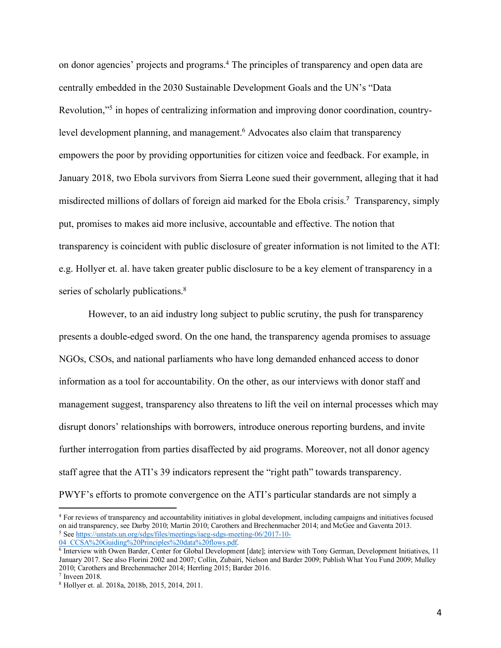on donor agencies' projects and programs.4 The principles of transparency and open data are centrally embedded in the 2030 Sustainable Development Goals and the UN's "Data Revolution,"<sup>5</sup> in hopes of centralizing information and improving donor coordination, countrylevel development planning, and management. <sup>6</sup> Advocates also claim that transparency empowers the poor by providing opportunities for citizen voice and feedback. For example, in January 2018, two Ebola survivors from Sierra Leone sued their government, alleging that it had misdirected millions of dollars of foreign aid marked for the Ebola crisis.<sup>7</sup> Transparency, simply put, promises to makes aid more inclusive, accountable and effective. The notion that transparency is coincident with public disclosure of greater information is not limited to the ATI: e.g. Hollyer et. al. have taken greater public disclosure to be a key element of transparency in a series of scholarly publications.<sup>8</sup>

However, to an aid industry long subject to public scrutiny, the push for transparency presents a double-edged sword. On the one hand, the transparency agenda promises to assuage NGOs, CSOs, and national parliaments who have long demanded enhanced access to donor information as a tool for accountability. On the other, as our interviews with donor staff and management suggest, transparency also threatens to lift the veil on internal processes which may disrupt donors' relationships with borrowers, introduce onerous reporting burdens, and invite further interrogation from parties disaffected by aid programs. Moreover, not all donor agency staff agree that the ATI's 39 indicators represent the "right path" towards transparency. PWYF's efforts to promote convergence on the ATI's particular standards are not simply a

<sup>4</sup> For reviews of transparency and accountability initiatives in global development, including campaigns and initiatives focused on aid transparency, see Darby 2010; Martin 2010; Carothers and Brechenmacher 2014; and McGee and Gaventa 2013.<br><sup>5</sup> See https://unstats.un.org/sdgs/files/meetings/iaeg-sdgs-meeting-06/2017-10-

<sup>04</sup>\_CCSA%20Guiding%20Principles%20data%20flows.pdf.<br><sup>6</sup> Interview with Owen Barder, Center for Global Development [date]; interview with Tony German, Development Initiatives, 11 January 2017. See also Florini 2002 and 2007; Collin, Zubairi, Nielson and Barder 2009; Publish What You Fund 2009; Mulley 2010; Carothers and Brechenmacher 2014; Herrling 2015; Barder 2016.

<sup>7</sup> Inveen 2018.

<sup>8</sup> Hollyer et. al. 2018a, 2018b, 2015, 2014, 2011.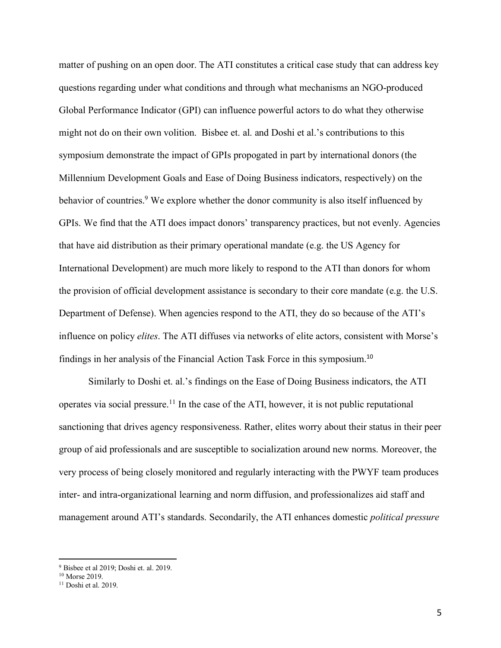matter of pushing on an open door. The ATI constitutes a critical case study that can address key questions regarding under what conditions and through what mechanisms an NGO-produced Global Performance Indicator (GPI) can influence powerful actors to do what they otherwise might not do on their own volition. Bisbee et. al. and Doshi et al.'s contributions to this symposium demonstrate the impact of GPIs propogated in part by international donors (the Millennium Development Goals and Ease of Doing Business indicators, respectively) on the behavior of countries.<sup>9</sup> We explore whether the donor community is also itself influenced by GPIs. We find that the ATI does impact donors' transparency practices, but not evenly. Agencies that have aid distribution as their primary operational mandate (e.g. the US Agency for International Development) are much more likely to respond to the ATI than donors for whom the provision of official development assistance is secondary to their core mandate (e.g. the U.S. Department of Defense). When agencies respond to the ATI, they do so because of the ATI's influence on policy *elites*. The ATI diffuses via networks of elite actors, consistent with Morse's findings in her analysis of the Financial Action Task Force in this symposium.<sup>10</sup>

Similarly to Doshi et. al.'s findings on the Ease of Doing Business indicators, the ATI operates via social pressure.<sup>11</sup> In the case of the ATI, however, it is not public reputational sanctioning that drives agency responsiveness. Rather, elites worry about their status in their peer group of aid professionals and are susceptible to socialization around new norms. Moreover, the very process of being closely monitored and regularly interacting with the PWYF team produces inter- and intra-organizational learning and norm diffusion, and professionalizes aid staff and management around ATI's standards. Secondarily, the ATI enhances domestic *political pressure*

<sup>&</sup>lt;sup>9</sup> Bisbee et al 2019; Doshi et. al. 2019.<br><sup>10</sup> Morse 2019.<br><sup>11</sup> Doshi et al. 2019.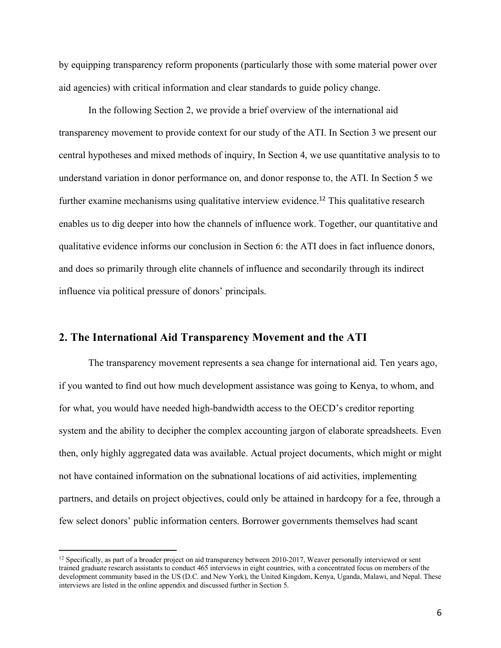by equipping transparency reform proponents (particularly those with some material power over aid agencies) with critical information and clear standards to guide policy change.

In the following Section 2, we provide a brief overview of the international aid transparency movement to provide context for our study of the ATI. In Section 3 we present our central hypotheses and mixed methods of inquiry, In Section 4, we use quantitative analysis to to understand variation in donor performance on, and donor response to, the ATI. In Section 5 we further examine mechanisms using qualitative interview evidence.<sup>12</sup> This qualitative research enables us to dig deeper into how the channels of influence work. Together, our quantitative and qualitative evidence informs our conclusion in Section 6: the ATI does in fact influence donors, and does so primarily through elite channels of influence and secondarily through its indirect influence via political pressure of donors' principals.

# **2. The International Aid Transparency Movement and the ATI**

The transparency movement represents a sea change for international aid. Ten years ago, if you wanted to find out how much development assistance was going to Kenya, to whom, and for what, you would have needed high-bandwidth access to the OECD's creditor reporting system and the ability to decipher the complex accounting jargon of elaborate spreadsheets. Even then, only highly aggregated data was available. Actual project documents, which might or might not have contained information on the subnational locations of aid activities, implementing partners, and details on project objectives, could only be attained in hardcopy for a fee, through a few select donors' public information centers. Borrower governments themselves had scant

 $12$  Specifically, as part of a broader project on aid transparency between 2010-2017. Weaver personally interviewed or sent trained graduate research assistants to conduct 465 interviews in eight countries, with a concentrated focus on members of the development community based in the US (D.C. and New York), the United Kingdom, Kenya, Uganda, Malawi, and Nepal. These interviews are listed in the online appendix and discussed further in Section 5.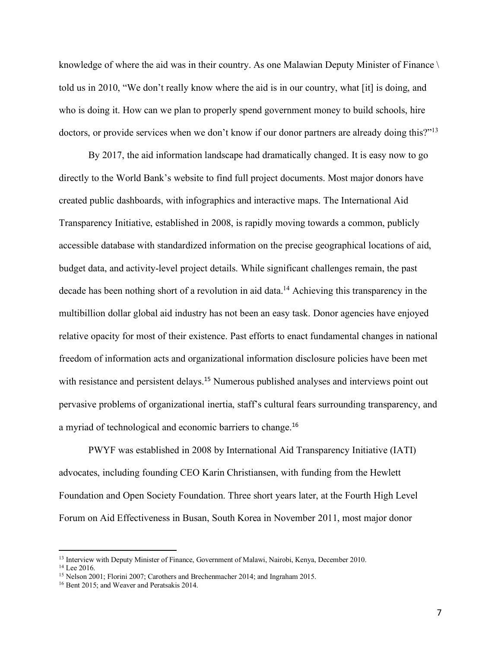knowledge of where the aid was in their country. As one Malawian Deputy Minister of Finance \ told us in 2010, "We don't really know where the aid is in our country, what [it] is doing, and who is doing it. How can we plan to properly spend government money to build schools, hire doctors, or provide services when we don't know if our donor partners are already doing this?"<sup>13</sup>

By 2017, the aid information landscape had dramatically changed. It is easy now to go directly to the World Bank's website to find full project documents. Most major donors have created public dashboards, with infographics and interactive maps. The International Aid Transparency Initiative, established in 2008, is rapidly moving towards a common, publicly accessible database with standardized information on the precise geographical locations of aid, budget data, and activity-level project details. While significant challenges remain, the past decade has been nothing short of a revolution in aid data.<sup>14</sup> Achieving this transparency in the multibillion dollar global aid industry has not been an easy task. Donor agencies have enjoyed relative opacity for most of their existence. Past efforts to enact fundamental changes in national freedom of information acts and organizational information disclosure policies have been met with resistance and persistent delays.<sup>15</sup> Numerous published analyses and interviews point out pervasive problems of organizational inertia, staff's cultural fears surrounding transparency, and a myriad of technological and economic barriers to change.<sup>16</sup>

PWYF was established in 2008 by International Aid Transparency Initiative (IATI) advocates, including founding CEO Karin Christiansen, with funding from the Hewlett Foundation and Open Society Foundation. Three short years later, at the Fourth High Level Forum on Aid Effectiveness in Busan, South Korea in November 2011, most major donor

<sup>13</sup> Interview with Deputy Minister of Finance, Government of Malawi, Nairobi, Kenya, December 2010.

<sup>14</sup> Lee 2016.

<sup>15</sup> Nelson 2001; Florini 2007; Carothers and Brechenmacher 2014; and Ingraham 2015.

<sup>16</sup> Bent 2015; and Weaver and Peratsakis 2014.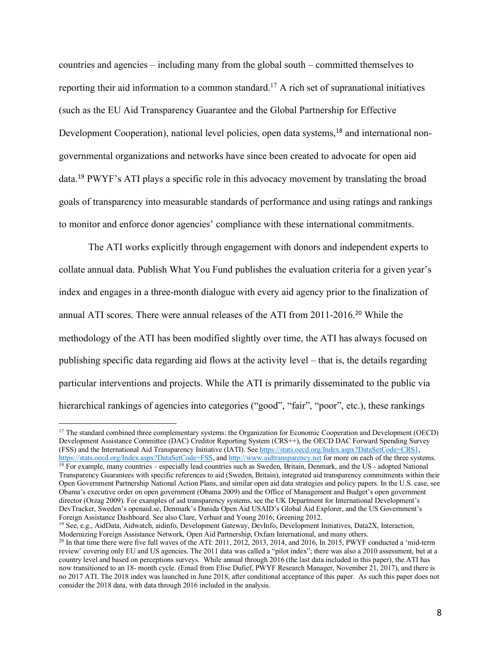countries and agencies – including many from the global south – committed themselves to reporting their aid information to a common standard. <sup>17</sup> A rich set of supranational initiatives (such as the EU Aid Transparency Guarantee and the Global Partnership for Effective Development Cooperation), national level policies, open data systems,<sup>18</sup> and international nongovernmental organizations and networks have since been created to advocate for open aid data.<sup>19</sup> PWYF's ATI plays a specific role in this advocacy movement by translating the broad goals of transparency into measurable standards of performance and using ratings and rankings to monitor and enforce donor agencies' compliance with these international commitments.

The ATI works explicitly through engagement with donors and independent experts to collate annual data. Publish What You Fund publishes the evaluation criteria for a given year's index and engages in a three-month dialogue with every aid agency prior to the finalization of annual ATI scores. There were annual releases of the ATI from 2011-2016. <sup>20</sup> While the methodology of the ATI has been modified slightly over time, the ATI has always focused on publishing specific data regarding aid flows at the activity level – that is, the details regarding particular interventions and projects. While the ATI is primarily disseminated to the public via hierarchical rankings of agencies into categories ("good", "fair", "poor", etc.), these rankings

<sup>19</sup> See, e.g., AidData, Aidwatch, aidinfo, Development Gateway, DevInfo, Development Initiatives, Data2X, Interaction, Modernizing Foreign Assistance Network, Open Aid Partnership, Oxfam International, and many others.

<sup>&</sup>lt;sup>17</sup> The standard combined three complementary systems: the Organization for Economic Cooperation and Development (OECD) Development Assistance Committee (DAC) Creditor Reporting System (CRS++), the OECD DAC Forward Spending Survey (FSS) and the International Aid Transparency Initiative (IATI). See https://stats.oecd.org/Index.aspx?DataSetCode=CRS1, https://stats.oecd.org/Index.aspx?DataSetCode=FSS, and http://www.aidtransparency.net for more on each of the three systems. <sup>18</sup> For example, many countries – especially lead countries such as Sweden, Britain, Denmark, and the US - adopted National Transparency Guarantees with specific references to aid (Sweden, Britain), integrated aid transparency commitments within their Open Government Partnership National Action Plans, and similar open aid data strategies and policy papers. In the U.S. case, see Obama's executive order on open government (Obama 2009) and the Office of Management and Budget's open government director (Orzag 2009). For examples of aid transparency systems, see the UK Department for International Development's DevTracker, Sweden's openaid.se, Denmark's Danida Open Aid USAID's Global Aid Explorer, and the US Government's Foreign Assistance Dashboard. See also Clare, Verhust and Young 2016; Greening 2012.

 $^{20}$  In that time there were five full waves of the ATI: 2011, 2012, 2013, 2014, and 2016. In 2015, PWYF conducted a 'mid-term review' covering only EU and US agencies. The 2011 data was called a "pilot index"; there was also a 2010 assessment, but at a country level and based on perceptions surveys. While annual through 2016 (the last data included in this paper), the ATI has now transitioned to an 18- month cycle. (Email from Elise Dufief, PWYF Research Manager, November 21, 2017), and there is no 2017 ATI. The 2018 index was launched in June 2018, after conditional acceptance of this paper. As such this paper does not consider the 2018 data, with data through 2016 included in the analysis.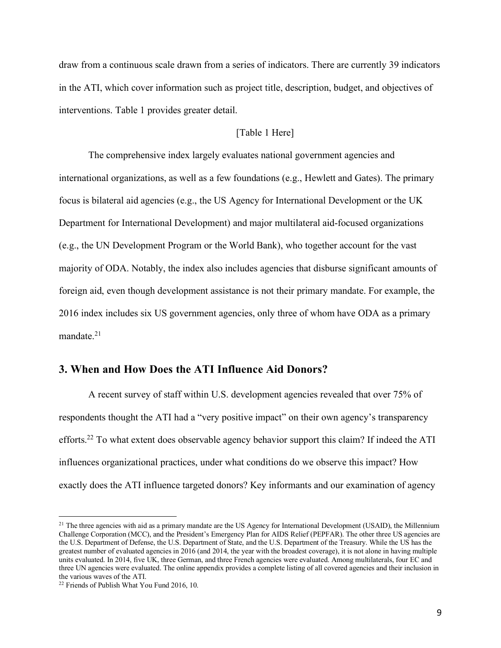draw from a continuous scale drawn from a series of indicators. There are currently 39 indicators in the ATI, which cover information such as project title, description, budget, and objectives of interventions. Table 1 provides greater detail.

# [Table 1 Here]

The comprehensive index largely evaluates national government agencies and international organizations, as well as a few foundations (e.g., Hewlett and Gates). The primary focus is bilateral aid agencies (e.g., the US Agency for International Development or the UK Department for International Development) and major multilateral aid-focused organizations (e.g., the UN Development Program or the World Bank), who together account for the vast majority of ODA. Notably, the index also includes agencies that disburse significant amounts of foreign aid, even though development assistance is not their primary mandate. For example, the 2016 index includes six US government agencies, only three of whom have ODA as a primary mandate. 21

# **3. When and How Does the ATI Influence Aid Donors?**

A recent survey of staff within U.S. development agencies revealed that over 75% of respondents thought the ATI had a "very positive impact" on their own agency's transparency efforts.22 To what extent does observable agency behavior support this claim? If indeed the ATI influences organizational practices, under what conditions do we observe this impact? How exactly does the ATI influence targeted donors? Key informants and our examination of agency

 $\overline{\phantom{a}}$ 

<sup>&</sup>lt;sup>21</sup> The three agencies with aid as a primary mandate are the US Agency for International Development (USAID), the Millennium Challenge Corporation (MCC), and the President's Emergency Plan for AIDS Relief (PEPFAR). The other three US agencies are the U.S. Department of Defense, the U.S. Department of State, and the U.S. Department of the Treasury. While the US has the greatest number of evaluated agencies in 2016 (and 2014, the year with the broadest coverage), it is not alone in having multiple units evaluated. In 2014, five UK, three German, and three French agencies were evaluated. Among multilaterals, four EC and three UN agencies were evaluated. The online appendix provides a complete listing of all covered agencies and their inclusion in the various waves of the ATI.

<sup>22</sup> Friends of Publish What You Fund 2016, 10.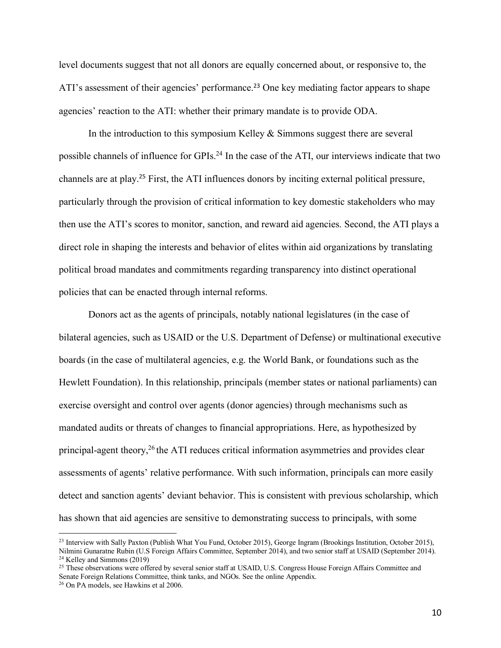level documents suggest that not all donors are equally concerned about, or responsive to, the ATI's assessment of their agencies' performance.<sup>23</sup> One key mediating factor appears to shape agencies' reaction to the ATI: whether their primary mandate is to provide ODA.

In the introduction to this symposium Kelley & Simmons suggest there are several possible channels of influence for GPIs.24 In the case of the ATI, our interviews indicate that two channels are at play.<sup>25</sup> First, the ATI influences donors by inciting external political pressure, particularly through the provision of critical information to key domestic stakeholders who may then use the ATI's scores to monitor, sanction, and reward aid agencies. Second, the ATI plays a direct role in shaping the interests and behavior of elites within aid organizations by translating political broad mandates and commitments regarding transparency into distinct operational policies that can be enacted through internal reforms.

Donors act as the agents of principals, notably national legislatures (in the case of bilateral agencies, such as USAID or the U.S. Department of Defense) or multinational executive boards (in the case of multilateral agencies, e.g. the World Bank, or foundations such as the Hewlett Foundation). In this relationship, principals (member states or national parliaments) can exercise oversight and control over agents (donor agencies) through mechanisms such as mandated audits or threats of changes to financial appropriations. Here, as hypothesized by principal-agent theory,26 the ATI reduces critical information asymmetries and provides clear assessments of agents' relative performance. With such information, principals can more easily detect and sanction agents' deviant behavior. This is consistent with previous scholarship, which has shown that aid agencies are sensitive to demonstrating success to principals, with some

 $\overline{\phantom{a}}$ 

<sup>23</sup> Interview with Sally Paxton (Publish What You Fund, October 2015), George Ingram (Brookings Institution, October 2015), Nilmini Gunaratne Rubin (U.S Foreign Affairs Committee, September 2014), and two senior staff at USAID (September 2014).<br><sup>24</sup> Kellev and Simmons (2019)

<sup>&</sup>lt;sup>25</sup> These observations were offered by several senior staff at USAID, U.S. Congress House Foreign Affairs Committee and Senate Foreign Relations Committee, think tanks, and NGOs. See the online Appendix.

<sup>26</sup> On PA models, see Hawkins et al 2006.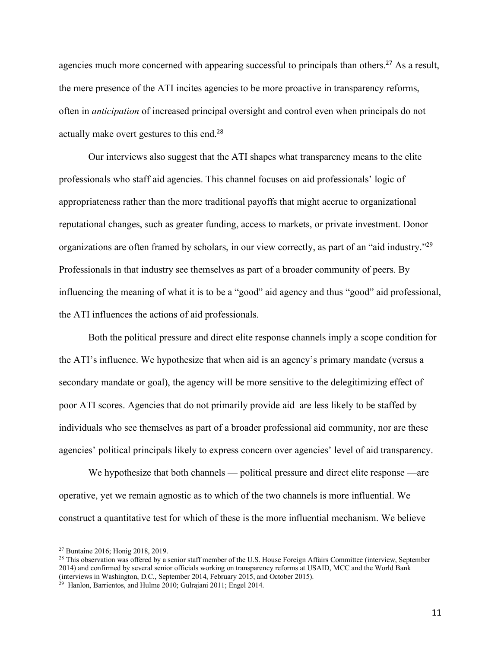agencies much more concerned with appearing successful to principals than others.<sup>27</sup> As a result, the mere presence of the ATI incites agencies to be more proactive in transparency reforms, often in *anticipation* of increased principal oversight and control even when principals do not actually make overt gestures to this end.<sup>28</sup>

Our interviews also suggest that the ATI shapes what transparency means to the elite professionals who staff aid agencies. This channel focuses on aid professionals' logic of appropriateness rather than the more traditional payoffs that might accrue to organizational reputational changes, such as greater funding, access to markets, or private investment. Donor organizations are often framed by scholars, in our view correctly, as part of an "aid industry."29 Professionals in that industry see themselves as part of a broader community of peers. By influencing the meaning of what it is to be a "good" aid agency and thus "good" aid professional, the ATI influences the actions of aid professionals.

Both the political pressure and direct elite response channels imply a scope condition for the ATI's influence. We hypothesize that when aid is an agency's primary mandate (versus a secondary mandate or goal), the agency will be more sensitive to the delegitimizing effect of poor ATI scores. Agencies that do not primarily provide aid are less likely to be staffed by individuals who see themselves as part of a broader professional aid community, nor are these agencies' political principals likely to express concern over agencies' level of aid transparency.

We hypothesize that both channels — political pressure and direct elite response —are operative, yet we remain agnostic as to which of the two channels is more influential. We construct a quantitative test for which of these is the more influential mechanism. We believe

<sup>27</sup> Buntaine 2016; Honig 2018, 2019.

<sup>&</sup>lt;sup>28</sup> This observation was offered by a senior staff member of the U.S. House Foreign Affairs Committee (interview, September 2014) and confirmed by several senior officials working on transparency reforms at USAID, MCC and the World Bank (interviews in Washington, D.C., September 2014, February 2015, and October 2015). 29 Hanlon, Barrientos, and Hulme 2010; Gulrajani 2011; Engel 2014.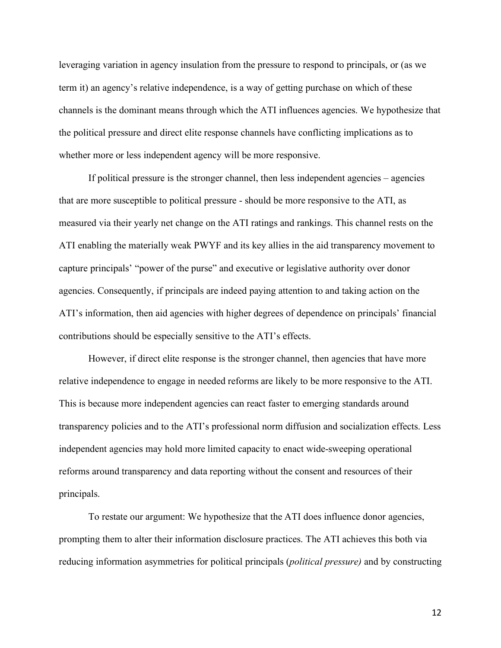leveraging variation in agency insulation from the pressure to respond to principals, or (as we term it) an agency's relative independence, is a way of getting purchase on which of these channels is the dominant means through which the ATI influences agencies. We hypothesize that the political pressure and direct elite response channels have conflicting implications as to whether more or less independent agency will be more responsive.

If political pressure is the stronger channel, then less independent agencies – agencies that are more susceptible to political pressure - should be more responsive to the ATI, as measured via their yearly net change on the ATI ratings and rankings. This channel rests on the ATI enabling the materially weak PWYF and its key allies in the aid transparency movement to capture principals' "power of the purse" and executive or legislative authority over donor agencies. Consequently, if principals are indeed paying attention to and taking action on the ATI's information, then aid agencies with higher degrees of dependence on principals' financial contributions should be especially sensitive to the ATI's effects.

However, if direct elite response is the stronger channel, then agencies that have more relative independence to engage in needed reforms are likely to be more responsive to the ATI. This is because more independent agencies can react faster to emerging standards around transparency policies and to the ATI's professional norm diffusion and socialization effects. Less independent agencies may hold more limited capacity to enact wide-sweeping operational reforms around transparency and data reporting without the consent and resources of their principals.

To restate our argument: We hypothesize that the ATI does influence donor agencies, prompting them to alter their information disclosure practices. The ATI achieves this both via reducing information asymmetries for political principals (*political pressure)* and by constructing

12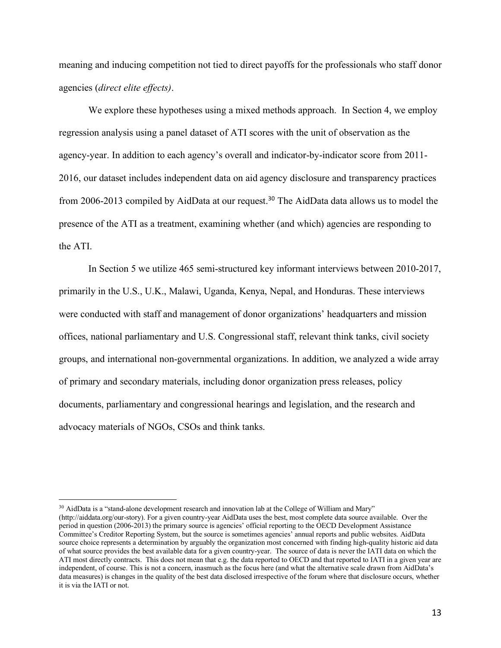meaning and inducing competition not tied to direct payoffs for the professionals who staff donor agencies (*direct elite effects)*.

We explore these hypotheses using a mixed methods approach. In Section 4, we employ regression analysis using a panel dataset of ATI scores with the unit of observation as the agency-year. In addition to each agency's overall and indicator-by-indicator score from 2011- 2016, our dataset includes independent data on aid agency disclosure and transparency practices from 2006-2013 compiled by AidData at our request.<sup>30</sup> The AidData data allows us to model the presence of the ATI as a treatment, examining whether (and which) agencies are responding to the ATI.

In Section 5 we utilize 465 semi-structured key informant interviews between 2010-2017, primarily in the U.S., U.K., Malawi, Uganda, Kenya, Nepal, and Honduras. These interviews were conducted with staff and management of donor organizations' headquarters and mission offices, national parliamentary and U.S. Congressional staff, relevant think tanks, civil society groups, and international non-governmental organizations. In addition, we analyzed a wide array of primary and secondary materials, including donor organization press releases, policy documents, parliamentary and congressional hearings and legislation, and the research and advocacy materials of NGOs, CSOs and think tanks.

<sup>&</sup>lt;sup>30</sup> AidData is a "stand-alone development research and innovation lab at the College of William and Mary" (http://aiddata.org/our-story). For a given country-year AidData uses the best, most complete data source available. Over the period in question (2006-2013) the primary source is agencies' official reporting to the OECD Development Assistance Committee's Creditor Reporting System, but the source is sometimes agencies' annual reports and public websites. AidData source choice represents a determination by arguably the organization most concerned with finding high-quality historic aid data of what source provides the best available data for a given country-year. The source of data is never the IATI data on which the ATI most directly contracts. This does not mean that e.g. the data reported to OECD and that reported to IATI in a given year are independent, of course. This is not a concern, inasmuch as the focus here (and what the alternative scale drawn from AidData's data measures) is changes in the quality of the best data disclosed irrespective of the forum where that disclosure occurs, whether it is via the IATI or not.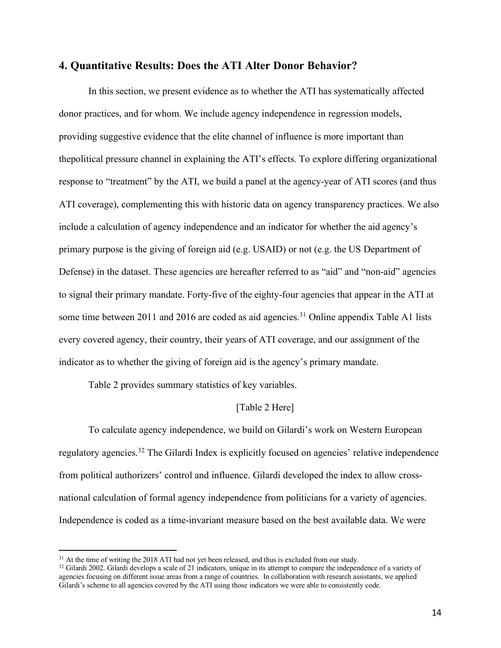# **4. Quantitative Results: Does the ATI Alter Donor Behavior?**

In this section, we present evidence as to whether the ATI has systematically affected donor practices, and for whom. We include agency independence in regression models, providing suggestive evidence that the elite channel of influence is more important than thepolitical pressure channel in explaining the ATI's effects. To explore differing organizational response to "treatment" by the ATI, we build a panel at the agency-year of ATI scores (and thus ATI coverage), complementing this with historic data on agency transparency practices. We also include a calculation of agency independence and an indicator for whether the aid agency's primary purpose is the giving of foreign aid (e.g. USAID) or not (e.g. the US Department of Defense) in the dataset. These agencies are hereafter referred to as "aid" and "non-aid" agencies to signal their primary mandate. Forty-five of the eighty-four agencies that appear in the ATI at some time between 2011 and 2016 are coded as aid agencies.<sup>31</sup> Online appendix Table A1 lists every covered agency, their country, their years of ATI coverage, and our assignment of the indicator as to whether the giving of foreign aid is the agency's primary mandate.

Table 2 provides summary statistics of key variables.

### [Table 2 Here]

To calculate agency independence, we build on Gilardi's work on Western European regulatory agencies.<sup>32</sup> The Gilardi Index is explicitly focused on agencies' relative independence from political authorizers' control and influence. Gilardi developed the index to allow crossnational calculation of formal agency independence from politicians for a variety of agencies. Independence is coded as a time-invariant measure based on the best available data. We were

<sup>&</sup>lt;sup>31</sup> At the time of writing the 2018 ATI had not yet been released, and thus is excluded from our study.

<sup>&</sup>lt;sup>32</sup> Gilardi 2002. Gilardi develops a scale of 21 indicators, unique in its attempt to compare the independence of a variety of agencies focusing on different issue areas from a range of countries. In collaboration with research assistants, we applied Gilardi's scheme to all agencies covered by the ATI using those indicators we were able to consistently code.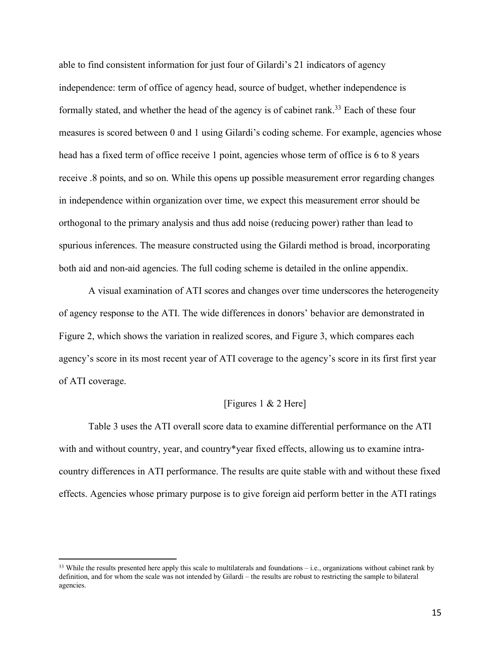able to find consistent information for just four of Gilardi's 21 indicators of agency independence: term of office of agency head, source of budget, whether independence is formally stated, and whether the head of the agency is of cabinet rank.<sup>33</sup> Each of these four measures is scored between 0 and 1 using Gilardi's coding scheme. For example, agencies whose head has a fixed term of office receive 1 point, agencies whose term of office is 6 to 8 years receive .8 points, and so on. While this opens up possible measurement error regarding changes in independence within organization over time, we expect this measurement error should be orthogonal to the primary analysis and thus add noise (reducing power) rather than lead to spurious inferences. The measure constructed using the Gilardi method is broad, incorporating both aid and non-aid agencies. The full coding scheme is detailed in the online appendix.

A visual examination of ATI scores and changes over time underscores the heterogeneity of agency response to the ATI. The wide differences in donors' behavior are demonstrated in Figure 2, which shows the variation in realized scores, and Figure 3, which compares each agency's score in its most recent year of ATI coverage to the agency's score in its first first year of ATI coverage.

#### [Figures 1 & 2 Here]

Table 3 uses the ATI overall score data to examine differential performance on the ATI with and without country, year, and country\*year fixed effects, allowing us to examine intracountry differences in ATI performance. The results are quite stable with and without these fixed effects. Agencies whose primary purpose is to give foreign aid perform better in the ATI ratings

 $33$  While the results presented here apply this scale to multilaterals and foundations – i.e., organizations without cabinet rank by definition, and for whom the scale was not intended by Gilardi – the results are robust to restricting the sample to bilateral agencies.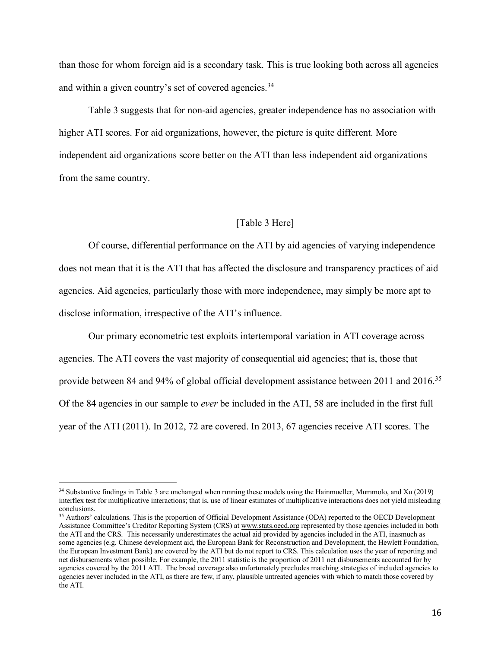than those for whom foreign aid is a secondary task. This is true looking both across all agencies and within a given country's set of covered agencies.<sup>34</sup>

Table 3 suggests that for non-aid agencies, greater independence has no association with higher ATI scores. For aid organizations, however, the picture is quite different. More independent aid organizations score better on the ATI than less independent aid organizations from the same country.

#### [Table 3 Here]

Of course, differential performance on the ATI by aid agencies of varying independence does not mean that it is the ATI that has affected the disclosure and transparency practices of aid agencies. Aid agencies, particularly those with more independence, may simply be more apt to disclose information, irrespective of the ATI's influence.

Our primary econometric test exploits intertemporal variation in ATI coverage across agencies. The ATI covers the vast majority of consequential aid agencies; that is, those that provide between 84 and 94% of global official development assistance between 2011 and 2016.<sup>35</sup> Of the 84 agencies in our sample to *ever* be included in the ATI, 58 are included in the first full year of the ATI (2011). In 2012, 72 are covered. In 2013, 67 agencies receive ATI scores. The

<sup>34</sup> Substantive findings in Table 3 are unchanged when running these models using the Hainmueller, Mummolo, and Xu (2019) interflex test for multiplicative interactions; that is, use of linear estimates of multiplicative interactions does not yield misleading conclusions.

<sup>&</sup>lt;sup>35</sup> Authors' calculations. This is the proportion of Official Development Assistance (ODA) reported to the OECD Development Assistance Committee's Creditor Reporting System (CRS) at www.stats.oecd.org represented by those agencies included in both the ATI and the CRS. This necessarily underestimates the actual aid provided by agencies included in the ATI, inasmuch as some agencies (e.g. Chinese development aid, the European Bank for Reconstruction and Development, the Hewlett Foundation, the European Investment Bank) are covered by the ATI but do not report to CRS. This calculation uses the year of reporting and net disbursements when possible. For example, the 2011 statistic is the proportion of 2011 net disbursements accounted for by agencies covered by the 2011 ATI. The broad coverage also unfortunately precludes matching strategies of included agencies to agencies never included in the ATI, as there are few, if any, plausible untreated agencies with which to match those covered by the ATI.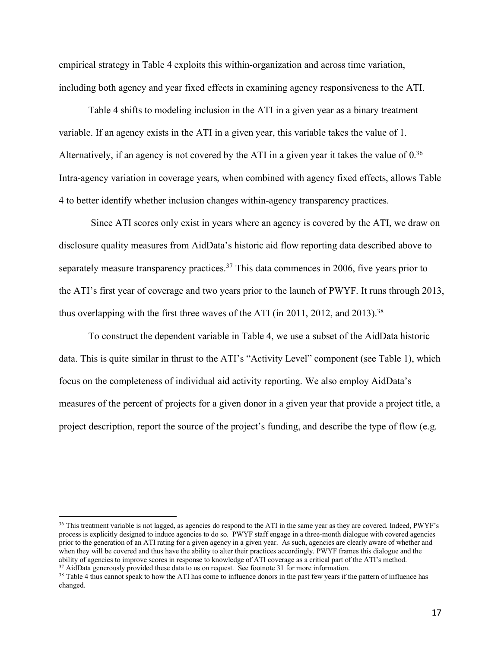empirical strategy in Table 4 exploits this within-organization and across time variation, including both agency and year fixed effects in examining agency responsiveness to the ATI.

Table 4 shifts to modeling inclusion in the ATI in a given year as a binary treatment variable. If an agency exists in the ATI in a given year, this variable takes the value of 1. Alternatively, if an agency is not covered by the ATI in a given year it takes the value of 0.36 Intra-agency variation in coverage years, when combined with agency fixed effects, allows Table 4 to better identify whether inclusion changes within-agency transparency practices.

Since ATI scores only exist in years where an agency is covered by the ATI, we draw on disclosure quality measures from AidData's historic aid flow reporting data described above to separately measure transparency practices.<sup>37</sup> This data commences in 2006, five years prior to the ATI's first year of coverage and two years prior to the launch of PWYF. It runs through 2013, thus overlapping with the first three waves of the ATI (in 2011, 2012, and 2013).<sup>38</sup>

To construct the dependent variable in Table 4, we use a subset of the AidData historic data. This is quite similar in thrust to the ATI's "Activity Level" component (see Table 1), which focus on the completeness of individual aid activity reporting. We also employ AidData's measures of the percent of projects for a given donor in a given year that provide a project title, a project description, report the source of the project's funding, and describe the type of flow (e.g.

 $\overline{\phantom{a}}$ 

<sup>&</sup>lt;sup>36</sup> This treatment variable is not lagged, as agencies do respond to the ATI in the same year as they are covered. Indeed, PWYF's process is explicitly designed to induce agencies to do so. PWYF staff engage in a three-month dialogue with covered agencies prior to the generation of an ATI rating for a given agency in a given year. As such, agencies are clearly aware of whether and when they will be covered and thus have the ability to alter their practices accordingly. PWYF frames this dialogue and the ability of agencies to improve scores in response to knowledge of ATI coverage as a critical part of the ATI's method.

<sup>&</sup>lt;sup>37</sup> AidData generously provided these data to us on request. See footnote 31 for more information.

<sup>&</sup>lt;sup>38</sup> Table 4 thus cannot speak to how the ATI has come to influence donors in the past few years if the pattern of influence has changed.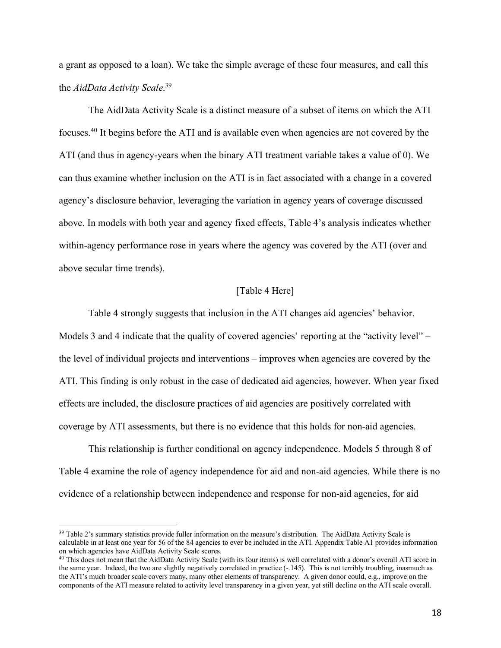a grant as opposed to a loan). We take the simple average of these four measures, and call this the *AidData Activity Scale*. 39

The AidData Activity Scale is a distinct measure of a subset of items on which the ATI focuses. <sup>40</sup> It begins before the ATI and is available even when agencies are not covered by the ATI (and thus in agency-years when the binary ATI treatment variable takes a value of 0). We can thus examine whether inclusion on the ATI is in fact associated with a change in a covered agency's disclosure behavior, leveraging the variation in agency years of coverage discussed above. In models with both year and agency fixed effects, Table 4's analysis indicates whether within-agency performance rose in years where the agency was covered by the ATI (over and above secular time trends).

### [Table 4 Here]

Table 4 strongly suggests that inclusion in the ATI changes aid agencies' behavior. Models 3 and 4 indicate that the quality of covered agencies' reporting at the "activity level" – the level of individual projects and interventions – improves when agencies are covered by the ATI. This finding is only robust in the case of dedicated aid agencies, however. When year fixed effects are included, the disclosure practices of aid agencies are positively correlated with coverage by ATI assessments, but there is no evidence that this holds for non-aid agencies.

This relationship is further conditional on agency independence. Models 5 through 8 of Table 4 examine the role of agency independence for aid and non-aid agencies. While there is no evidence of a relationship between independence and response for non-aid agencies, for aid

 $39$  Table 2's summary statistics provide fuller information on the measure's distribution. The AidData Activity Scale is calculable in at least one year for 56 of the 84 agencies to ever be included in the ATI. Appendix Table A1 provides information on which agencies have AidData Activity Scale scores.

<sup>40</sup> This does not mean that the AidData Activity Scale (with its four items) is well correlated with a donor's overall ATI score in the same year. Indeed, the two are slightly negatively correlated in practice (-.145). This is not terribly troubling, inasmuch as the ATI's much broader scale covers many, many other elements of transparency. A given donor could, e.g., improve on the components of the ATI measure related to activity level transparency in a given year, yet still decline on the ATI scale overall.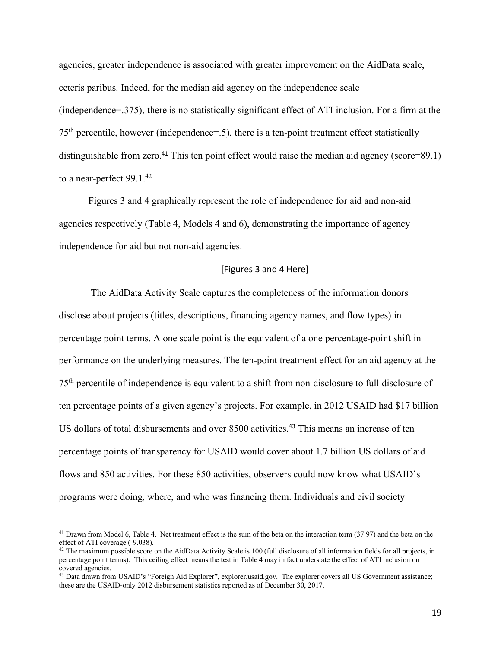agencies, greater independence is associated with greater improvement on the AidData scale, ceteris paribus. Indeed, for the median aid agency on the independence scale (independence=.375), there is no statistically significant effect of ATI inclusion. For a firm at the 75th percentile, however (independence=.5), there is a ten-point treatment effect statistically distinguishable from zero.<sup>41</sup> This ten point effect would raise the median aid agency (score=89.1) to a near-perfect 99.1.<sup>42</sup>

Figures 3 and 4 graphically represent the role of independence for aid and non-aid agencies respectively (Table 4, Models 4 and 6), demonstrating the importance of agency independence for aid but not non-aid agencies.

#### [Figures 3 and 4 Here]

The AidData Activity Scale captures the completeness of the information donors disclose about projects (titles, descriptions, financing agency names, and flow types) in percentage point terms. A one scale point is the equivalent of a one percentage-point shift in performance on the underlying measures. The ten-point treatment effect for an aid agency at the 75th percentile of independence is equivalent to a shift from non-disclosure to full disclosure of ten percentage points of a given agency's projects. For example, in 2012 USAID had \$17 billion US dollars of total disbursements and over 8500 activities.<sup>43</sup> This means an increase of ten percentage points of transparency for USAID would cover about 1.7 billion US dollars of aid flows and 850 activities. For these 850 activities, observers could now know what USAID's programs were doing, where, and who was financing them. Individuals and civil society

<sup>&</sup>lt;sup>41</sup> Drawn from Model 6, Table 4. Net treatment effect is the sum of the beta on the interaction term (37.97) and the beta on the effect of ATI coverage (-9.038).

 $42$  The maximum possible score on the AidData Activity Scale is 100 (full disclosure of all information fields for all projects, in percentage point terms). This ceiling effect means the test in Table 4 may in fact understate the effect of ATI inclusion on covered agencies.<br><sup>43</sup> Data drawn from USAID's "Foreign Aid Explorer", explorer.usaid.gov. The explorer covers all US Government assistance;

these are the USAID-only 2012 disbursement statistics reported as of December 30, 2017.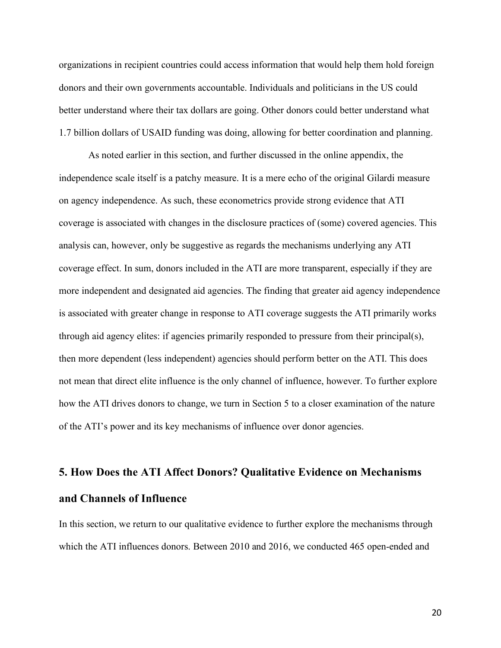organizations in recipient countries could access information that would help them hold foreign donors and their own governments accountable. Individuals and politicians in the US could better understand where their tax dollars are going. Other donors could better understand what 1.7 billion dollars of USAID funding was doing, allowing for better coordination and planning.

As noted earlier in this section, and further discussed in the online appendix, the independence scale itself is a patchy measure. It is a mere echo of the original Gilardi measure on agency independence. As such, these econometrics provide strong evidence that ATI coverage is associated with changes in the disclosure practices of (some) covered agencies. This analysis can, however, only be suggestive as regards the mechanisms underlying any ATI coverage effect. In sum, donors included in the ATI are more transparent, especially if they are more independent and designated aid agencies. The finding that greater aid agency independence is associated with greater change in response to ATI coverage suggests the ATI primarily works through aid agency elites: if agencies primarily responded to pressure from their principal(s), then more dependent (less independent) agencies should perform better on the ATI. This does not mean that direct elite influence is the only channel of influence, however. To further explore how the ATI drives donors to change, we turn in Section 5 to a closer examination of the nature of the ATI's power and its key mechanisms of influence over donor agencies.

# **5. How Does the ATI Affect Donors? Qualitative Evidence on Mechanisms and Channels of Influence**

In this section, we return to our qualitative evidence to further explore the mechanisms through which the ATI influences donors. Between 2010 and 2016, we conducted 465 open-ended and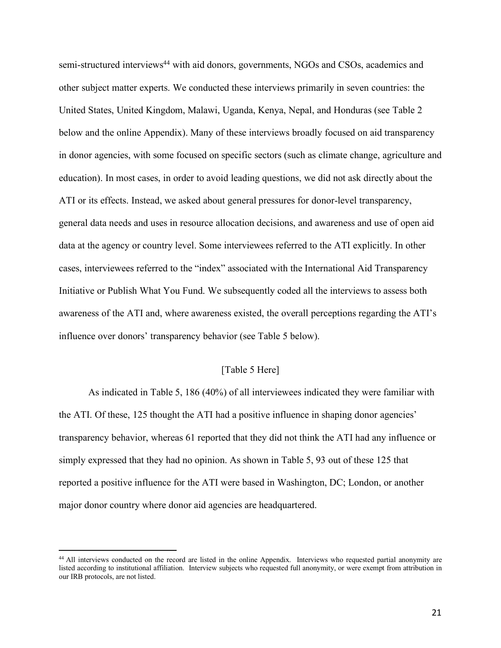semi-structured interviews<sup>44</sup> with aid donors, governments, NGOs and CSOs, academics and other subject matter experts. We conducted these interviews primarily in seven countries: the United States, United Kingdom, Malawi, Uganda, Kenya, Nepal, and Honduras (see Table 2 below and the online Appendix). Many of these interviews broadly focused on aid transparency in donor agencies, with some focused on specific sectors (such as climate change, agriculture and education). In most cases, in order to avoid leading questions, we did not ask directly about the ATI or its effects. Instead, we asked about general pressures for donor-level transparency, general data needs and uses in resource allocation decisions, and awareness and use of open aid data at the agency or country level. Some interviewees referred to the ATI explicitly. In other cases, interviewees referred to the "index" associated with the International Aid Transparency Initiative or Publish What You Fund. We subsequently coded all the interviews to assess both awareness of the ATI and, where awareness existed, the overall perceptions regarding the ATI's influence over donors' transparency behavior (see Table 5 below).

#### [Table 5 Here]

As indicated in Table 5, 186 (40%) of all interviewees indicated they were familiar with the ATI. Of these, 125 thought the ATI had a positive influence in shaping donor agencies' transparency behavior, whereas 61 reported that they did not think the ATI had any influence or simply expressed that they had no opinion. As shown in Table 5, 93 out of these 125 that reported a positive influence for the ATI were based in Washington, DC; London, or another major donor country where donor aid agencies are headquartered.

<sup>44</sup> All interviews conducted on the record are listed in the online Appendix. Interviews who requested partial anonymity are listed according to institutional affiliation. Interview subjects who requested full anonymity, or were exempt from attribution in our IRB protocols, are not listed.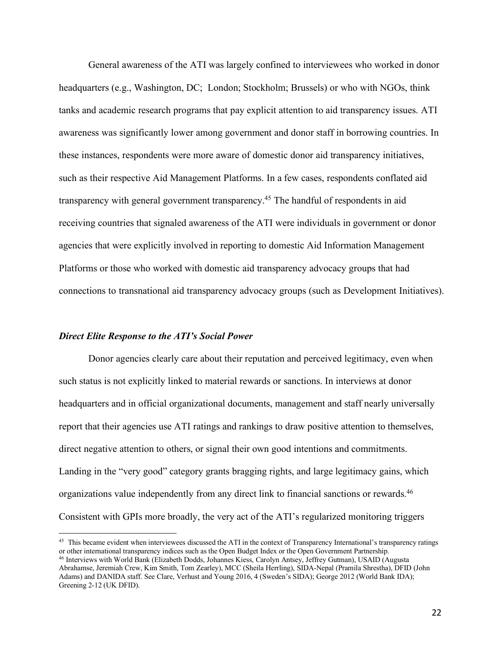General awareness of the ATI was largely confined to interviewees who worked in donor headquarters (e.g., Washington, DC; London; Stockholm; Brussels) or who with NGOs, think tanks and academic research programs that pay explicit attention to aid transparency issues. ATI awareness was significantly lower among government and donor staff in borrowing countries. In these instances, respondents were more aware of domestic donor aid transparency initiatives, such as their respective Aid Management Platforms. In a few cases, respondents conflated aid transparency with general government transparency.45 The handful of respondents in aid receiving countries that signaled awareness of the ATI were individuals in government or donor agencies that were explicitly involved in reporting to domestic Aid Information Management Platforms or those who worked with domestic aid transparency advocacy groups that had connections to transnational aid transparency advocacy groups (such as Development Initiatives).

#### *Direct Elite Response to the ATI's Social Power*

 $\overline{\phantom{a}}$ 

Donor agencies clearly care about their reputation and perceived legitimacy, even when such status is not explicitly linked to material rewards or sanctions. In interviews at donor headquarters and in official organizational documents, management and staff nearly universally report that their agencies use ATI ratings and rankings to draw positive attention to themselves, direct negative attention to others, or signal their own good intentions and commitments. Landing in the "very good" category grants bragging rights, and large legitimacy gains, which organizations value independently from any direct link to financial sanctions or rewards.<sup>46</sup> Consistent with GPIs more broadly, the very act of the ATI's regularized monitoring triggers

<sup>&</sup>lt;sup>45</sup> This became evident when interviewees discussed the ATI in the context of Transparency International's transparency ratings or other international transparency indices such as the Open Budget Index or the Open Government Partnership.

<sup>46</sup> Interviews with World Bank (Elizabeth Dodds, Johannes Kiess, Carolyn Antsey, Jeffrey Gutman), USAID (Augusta Abrahamse, Jeremiah Crew, Kim Smith, Tom Zearley), MCC (Sheila Herrling), SIDA-Nepal (Pramila Shrestha), DFID (John Adams) and DANIDA staff. See Clare, Verhust and Young 2016, 4 (Sweden's SIDA); George 2012 (World Bank IDA); Greening 2-12 (UK DFID).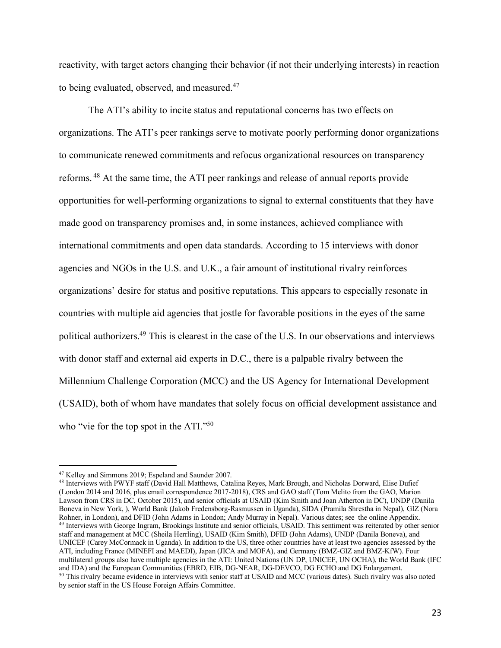reactivity, with target actors changing their behavior (if not their underlying interests) in reaction to being evaluated, observed, and measured.<sup>47</sup>

The ATI's ability to incite status and reputational concerns has two effects on organizations. The ATI's peer rankings serve to motivate poorly performing donor organizations to communicate renewed commitments and refocus organizational resources on transparency reforms. <sup>48</sup> At the same time, the ATI peer rankings and release of annual reports provide opportunities for well-performing organizations to signal to external constituents that they have made good on transparency promises and, in some instances, achieved compliance with international commitments and open data standards. According to 15 interviews with donor agencies and NGOs in the U.S. and U.K., a fair amount of institutional rivalry reinforces organizations' desire for status and positive reputations. This appears to especially resonate in countries with multiple aid agencies that jostle for favorable positions in the eyes of the same political authorizers. <sup>49</sup> This is clearest in the case of the U.S. In our observations and interviews with donor staff and external aid experts in D.C., there is a palpable rivalry between the Millennium Challenge Corporation (MCC) and the US Agency for International Development (USAID), both of whom have mandates that solely focus on official development assistance and who "vie for the top spot in the ATI."<sup>50</sup>

<sup>47</sup> Kelley and Simmons 2019; Espeland and Saunder 2007.

<sup>48</sup> Interviews with PWYF staff (David Hall Matthews, Catalina Reyes, Mark Brough, and Nicholas Dorward, Elise Dufief (London 2014 and 2016, plus email correspondence 2017-2018), CRS and GAO staff (Tom Melito from the GAO, Marion Lawson from CRS in DC, October 2015), and senior officials at USAID (Kim Smith and Joan Atherton in DC), UNDP (Danila Boneva in New York, ), World Bank (Jakob Fredensborg-Rasmussen in Uganda), SIDA (Pramila Shrestha in Nepal), GIZ (Nora Rohner, in London), and DFID (John Adams in London; Andy Murray in Nepal). Various dates; see the online Appendix. <sup>49</sup> Interviews with George Ingram, Brookings Institute and senior officials, USAID. This sentiment was reiterated by other senior staff and management at MCC (Sheila Herrling), USAID (Kim Smith), DFID (John Adams), UNDP (Danila Boneva), and UNICEF (Carey McCormack in Uganda). In addition to the US, three other countries have at least two agencies assessed by the ATI, including France (MINEFI and MAEDI), Japan (JICA and MOFA), and Germany (BMZ-GIZ and BMZ-KfW). Four multilateral groups also have multiple agencies in the ATI: United Nations (UN DP, UNICEF, UN OCHA), the World Bank (IFC and IDA) and the European Communities (EBRD, EIB, DG-NEAR, DG-DEVCO, DG ECHO and DG Enlargement. <sup>50</sup> This rivalry became evidence in interviews with senior staff at USAID and MCC (various dates). Such rivalry was also noted by senior staff in the US House Foreign Affairs Committee.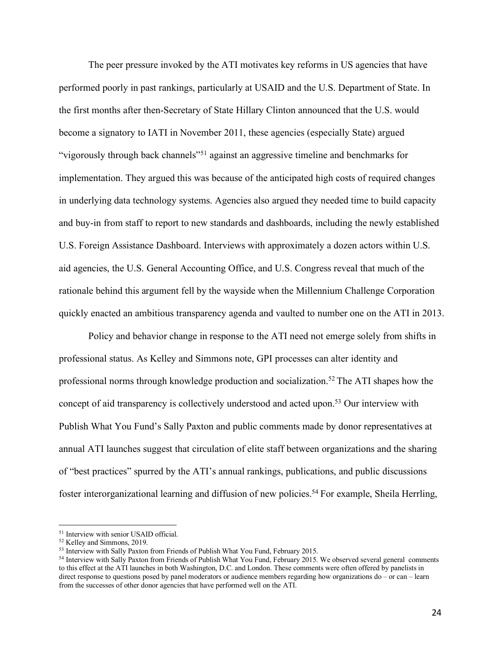The peer pressure invoked by the ATI motivates key reforms in US agencies that have performed poorly in past rankings, particularly at USAID and the U.S. Department of State. In the first months after then-Secretary of State Hillary Clinton announced that the U.S. would become a signatory to IATI in November 2011, these agencies (especially State) argued "vigorously through back channels"51 against an aggressive timeline and benchmarks for implementation. They argued this was because of the anticipated high costs of required changes in underlying data technology systems. Agencies also argued they needed time to build capacity and buy-in from staff to report to new standards and dashboards, including the newly established U.S. Foreign Assistance Dashboard. Interviews with approximately a dozen actors within U.S. aid agencies, the U.S. General Accounting Office, and U.S. Congress reveal that much of the rationale behind this argument fell by the wayside when the Millennium Challenge Corporation quickly enacted an ambitious transparency agenda and vaulted to number one on the ATI in 2013.

Policy and behavior change in response to the ATI need not emerge solely from shifts in professional status. As Kelley and Simmons note, GPI processes can alter identity and professional norms through knowledge production and socialization. <sup>52</sup> The ATI shapes how the concept of aid transparency is collectively understood and acted upon. <sup>53</sup> Our interview with Publish What You Fund's Sally Paxton and public comments made by donor representatives at annual ATI launches suggest that circulation of elite staff between organizations and the sharing of "best practices" spurred by the ATI's annual rankings, publications, and public discussions foster interorganizational learning and diffusion of new policies.<sup>54</sup> For example, Sheila Herrling,

 $51$  Interview with senior USAID official.<br> $52$  Kelley and Simmons, 2019.

<sup>&</sup>lt;sup>53</sup> Interview with Sally Paxton from Friends of Publish What You Fund, February 2015.

<sup>54</sup> Interview with Sally Paxton from Friends of Publish What You Fund, February 2015. We observed several general comments to this effect at the ATI launches in both Washington, D.C. and London. These comments were often offered by panelists in direct response to questions posed by panel moderators or audience members regarding how organizations do – or can – learn from the successes of other donor agencies that have performed well on the ATI.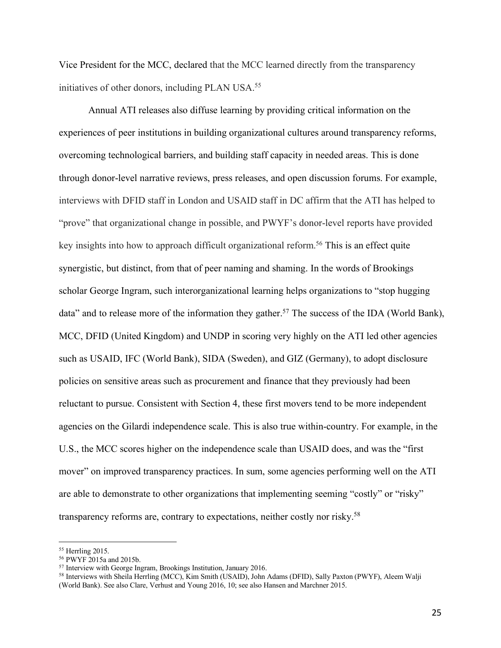Vice President for the MCC, declared that the MCC learned directly from the transparency initiatives of other donors, including PLAN USA.<sup>55</sup>

Annual ATI releases also diffuse learning by providing critical information on the experiences of peer institutions in building organizational cultures around transparency reforms, overcoming technological barriers, and building staff capacity in needed areas. This is done through donor-level narrative reviews, press releases, and open discussion forums. For example, interviews with DFID staff in London and USAID staff in DC affirm that the ATI has helped to "prove" that organizational change in possible, and PWYF's donor-level reports have provided key insights into how to approach difficult organizational reform.<sup>56</sup> This is an effect quite synergistic, but distinct, from that of peer naming and shaming. In the words of Brookings scholar George Ingram, such interorganizational learning helps organizations to "stop hugging data" and to release more of the information they gather.<sup>57</sup> The success of the IDA (World Bank), MCC, DFID (United Kingdom) and UNDP in scoring very highly on the ATI led other agencies such as USAID, IFC (World Bank), SIDA (Sweden), and GIZ (Germany), to adopt disclosure policies on sensitive areas such as procurement and finance that they previously had been reluctant to pursue. Consistent with Section 4, these first movers tend to be more independent agencies on the Gilardi independence scale. This is also true within-country. For example, in the U.S., the MCC scores higher on the independence scale than USAID does, and was the "first mover" on improved transparency practices. In sum, some agencies performing well on the ATI are able to demonstrate to other organizations that implementing seeming "costly" or "risky" transparency reforms are, contrary to expectations, neither costly nor risky.58

<sup>55</sup> Herrling 2015.

<sup>56</sup> PWYF 2015a and 2015b.

<sup>57</sup> Interview with George Ingram, Brookings Institution, January 2016.

<sup>58</sup> Interviews with Sheila Herrling (MCC), Kim Smith (USAID), John Adams (DFID), Sally Paxton (PWYF), Aleem Walji (World Bank). See also Clare, Verhust and Young 2016, 10; see also Hansen and Marchner 2015.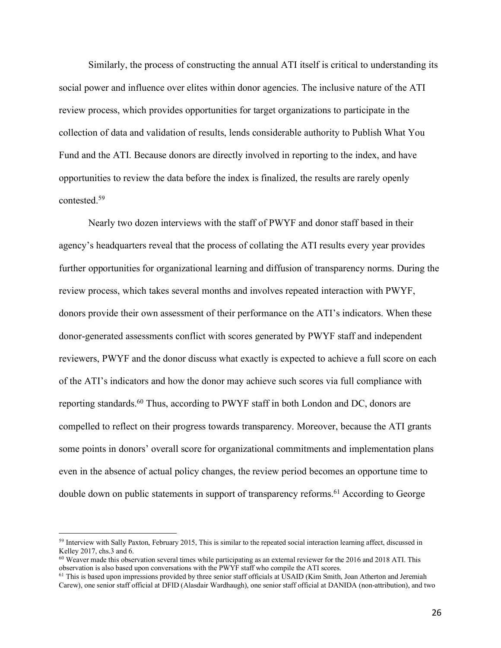Similarly, the process of constructing the annual ATI itself is critical to understanding its social power and influence over elites within donor agencies. The inclusive nature of the ATI review process, which provides opportunities for target organizations to participate in the collection of data and validation of results, lends considerable authority to Publish What You Fund and the ATI. Because donors are directly involved in reporting to the index, and have opportunities to review the data before the index is finalized, the results are rarely openly contested.59

Nearly two dozen interviews with the staff of PWYF and donor staff based in their agency's headquarters reveal that the process of collating the ATI results every year provides further opportunities for organizational learning and diffusion of transparency norms. During the review process, which takes several months and involves repeated interaction with PWYF, donors provide their own assessment of their performance on the ATI's indicators. When these donor-generated assessments conflict with scores generated by PWYF staff and independent reviewers, PWYF and the donor discuss what exactly is expected to achieve a full score on each of the ATI's indicators and how the donor may achieve such scores via full compliance with reporting standards.60 Thus, according to PWYF staff in both London and DC, donors are compelled to reflect on their progress towards transparency. Moreover, because the ATI grants some points in donors' overall score for organizational commitments and implementation plans even in the absence of actual policy changes, the review period becomes an opportune time to double down on public statements in support of transparency reforms. <sup>61</sup> According to George

 $\overline{\phantom{a}}$ 

<sup>59</sup> Interview with Sally Paxton, February 2015, This is similar to the repeated social interaction learning affect, discussed in Kelley 2017, chs.3 and 6.

 $60$  Weaver made this observation several times while participating as an external reviewer for the 2016 and 2018 ATI. This observation is also based upon conversations with the PWYF staff who compile the ATI scores.

 $<sup>61</sup>$  This is based upon impressions provided by three senior staff officials at USAID (Kim Smith, Joan Atherton and Jeremiah</sup> Carew), one senior staff official at DFID (Alasdair Wardhaugh), one senior staff official at DANIDA (non-attribution), and two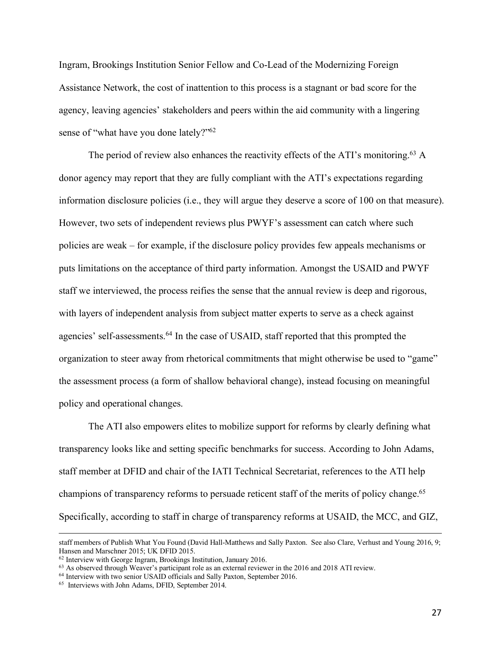Ingram, Brookings Institution Senior Fellow and Co-Lead of the Modernizing Foreign Assistance Network, the cost of inattention to this process is a stagnant or bad score for the agency, leaving agencies' stakeholders and peers within the aid community with a lingering sense of "what have you done lately?"<sup>62</sup>

The period of review also enhances the reactivity effects of the ATI's monitoring.<sup>63</sup> A donor agency may report that they are fully compliant with the ATI's expectations regarding information disclosure policies (i.e., they will argue they deserve a score of 100 on that measure). However, two sets of independent reviews plus PWYF's assessment can catch where such policies are weak – for example, if the disclosure policy provides few appeals mechanisms or puts limitations on the acceptance of third party information. Amongst the USAID and PWYF staff we interviewed, the process reifies the sense that the annual review is deep and rigorous, with layers of independent analysis from subject matter experts to serve as a check against agencies' self-assessments.<sup>64</sup> In the case of USAID, staff reported that this prompted the organization to steer away from rhetorical commitments that might otherwise be used to "game" the assessment process (a form of shallow behavioral change), instead focusing on meaningful policy and operational changes.

The ATI also empowers elites to mobilize support for reforms by clearly defining what transparency looks like and setting specific benchmarks for success. According to John Adams, staff member at DFID and chair of the IATI Technical Secretariat, references to the ATI help champions of transparency reforms to persuade reticent staff of the merits of policy change. 65 Specifically, according to staff in charge of transparency reforms at USAID, the MCC, and GIZ,

staff members of Publish What You Found (David Hall-Matthews and Sally Paxton. See also Clare, Verhust and Young 2016, 9; Hansen and Marschner 2015; UK DFID 2015.

<sup>62</sup> Interview with George Ingram, Brookings Institution, January 2016.

<sup>63</sup> As observed through Weaver's participant role as an external reviewer in the 2016 and 2018 ATI review.

<sup>&</sup>lt;sup>64</sup> Interview with two senior USAID officials and Sally Paxton, September 2016.<br><sup>65</sup> Interviews with John Adams, DFID, September 2014.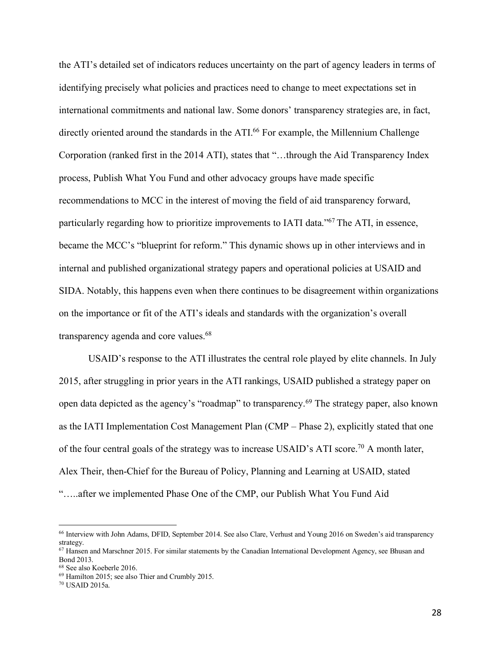the ATI's detailed set of indicators reduces uncertainty on the part of agency leaders in terms of identifying precisely what policies and practices need to change to meet expectations set in international commitments and national law. Some donors' transparency strategies are, in fact, directly oriented around the standards in the ATI.<sup>66</sup> For example, the Millennium Challenge Corporation (ranked first in the 2014 ATI), states that "…through the Aid Transparency Index process, Publish What You Fund and other advocacy groups have made specific recommendations to MCC in the interest of moving the field of aid transparency forward, particularly regarding how to prioritize improvements to IATI data."67 The ATI, in essence, became the MCC's "blueprint for reform." This dynamic shows up in other interviews and in internal and published organizational strategy papers and operational policies at USAID and SIDA. Notably, this happens even when there continues to be disagreement within organizations on the importance or fit of the ATI's ideals and standards with the organization's overall transparency agenda and core values.<sup>68</sup>

USAID's response to the ATI illustrates the central role played by elite channels. In July 2015, after struggling in prior years in the ATI rankings, USAID published a strategy paper on open data depicted as the agency's "roadmap" to transparency.69 The strategy paper, also known as the IATI Implementation Cost Management Plan (CMP – Phase 2), explicitly stated that one of the four central goals of the strategy was to increase USAID's ATI score.<sup>70</sup> A month later, Alex Their, then-Chief for the Bureau of Policy, Planning and Learning at USAID, stated "…..after we implemented Phase One of the CMP, our Publish What You Fund Aid

<sup>66</sup> Interview with John Adams, DFID, September 2014. See also Clare, Verhust and Young 2016 on Sweden's aid transparency strategy.

<sup>67</sup> Hansen and Marschner 2015. For similar statements by the Canadian International Development Agency, see Bhusan and Bond 2013.

<sup>68</sup> See also Koeberle 2016.

<sup>69</sup> Hamilton 2015; see also Thier and Crumbly 2015.

<sup>70</sup> USAID 2015a.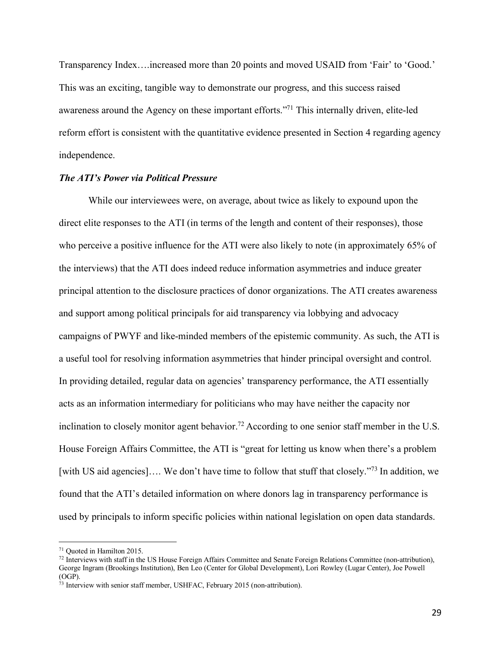Transparency Index….increased more than 20 points and moved USAID from 'Fair' to 'Good.' This was an exciting, tangible way to demonstrate our progress, and this success raised awareness around the Agency on these important efforts."71 This internally driven, elite-led reform effort is consistent with the quantitative evidence presented in Section 4 regarding agency independence.

#### *The ATI's Power via Political Pressure*

While our interviewees were, on average, about twice as likely to expound upon the direct elite responses to the ATI (in terms of the length and content of their responses), those who perceive a positive influence for the ATI were also likely to note (in approximately 65% of the interviews) that the ATI does indeed reduce information asymmetries and induce greater principal attention to the disclosure practices of donor organizations. The ATI creates awareness and support among political principals for aid transparency via lobbying and advocacy campaigns of PWYF and like-minded members of the epistemic community. As such, the ATI is a useful tool for resolving information asymmetries that hinder principal oversight and control. In providing detailed, regular data on agencies' transparency performance, the ATI essentially acts as an information intermediary for politicians who may have neither the capacity nor inclination to closely monitor agent behavior. <sup>72</sup> According to one senior staff member in the U.S. House Foreign Affairs Committee, the ATI is "great for letting us know when there's a problem [with US aid agencies].... We don't have time to follow that stuff that closely."<sup>73</sup> In addition, we found that the ATI's detailed information on where donors lag in transparency performance is used by principals to inform specific policies within national legislation on open data standards.

<sup>71</sup> Quoted in Hamilton 2015.

 $72$  Interviews with staff in the US House Foreign Affairs Committee and Senate Foreign Relations Committee (non-attribution), George Ingram (Brookings Institution), Ben Leo (Center for Global Development), Lori Rowley (Lugar Center), Joe Powell (OGP).

<sup>&</sup>lt;sup>73</sup> Interview with senior staff member, USHFAC, February 2015 (non-attribution).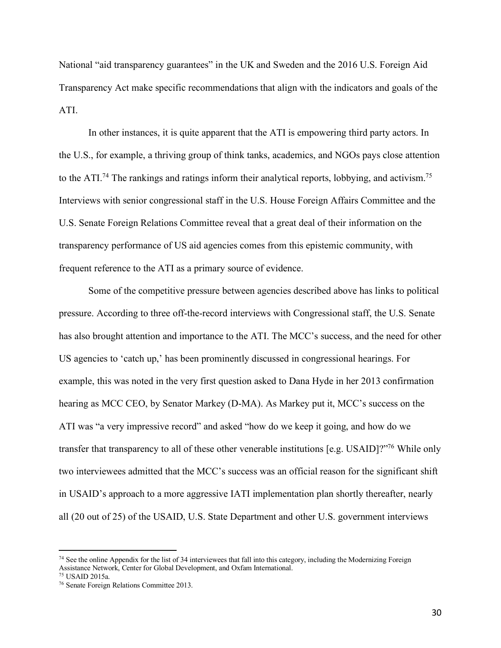National "aid transparency guarantees" in the UK and Sweden and the 2016 U.S. Foreign Aid Transparency Act make specific recommendations that align with the indicators and goals of the ATI.

In other instances, it is quite apparent that the ATI is empowering third party actors. In the U.S., for example, a thriving group of think tanks, academics, and NGOs pays close attention to the ATI.<sup>74</sup> The rankings and ratings inform their analytical reports, lobbying, and activism.<sup>75</sup> Interviews with senior congressional staff in the U.S. House Foreign Affairs Committee and the U.S. Senate Foreign Relations Committee reveal that a great deal of their information on the transparency performance of US aid agencies comes from this epistemic community, with frequent reference to the ATI as a primary source of evidence.

Some of the competitive pressure between agencies described above has links to political pressure. According to three off-the-record interviews with Congressional staff, the U.S. Senate has also brought attention and importance to the ATI. The MCC's success, and the need for other US agencies to 'catch up,' has been prominently discussed in congressional hearings. For example, this was noted in the very first question asked to Dana Hyde in her 2013 confirmation hearing as MCC CEO, by Senator Markey (D-MA). As Markey put it, MCC's success on the ATI was "a very impressive record" and asked "how do we keep it going, and how do we transfer that transparency to all of these other venerable institutions [e.g. USAID]?"76 While only two interviewees admitted that the MCC's success was an official reason for the significant shift in USAID's approach to a more aggressive IATI implementation plan shortly thereafter, nearly all (20 out of 25) of the USAID, U.S. State Department and other U.S. government interviews

<sup>&</sup>lt;sup>74</sup> See the online Appendix for the list of 34 interviewees that fall into this category, including the Modernizing Foreign Assistance Network, Center for Global Development, and Oxfam International.

<sup>75</sup> USAID 2015a.

<sup>76</sup> Senate Foreign Relations Committee 2013.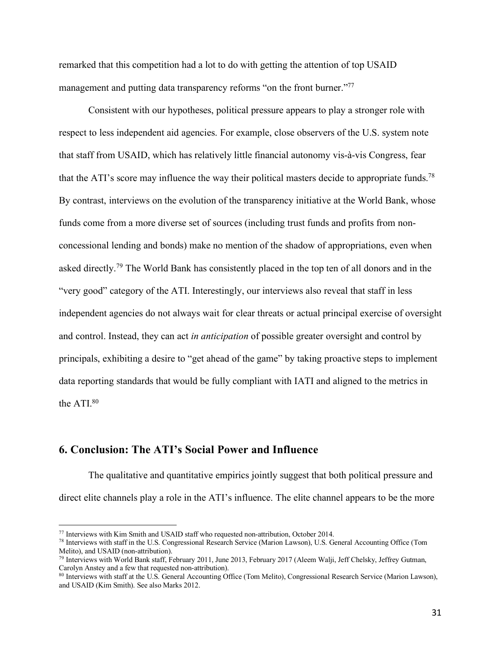remarked that this competition had a lot to do with getting the attention of top USAID management and putting data transparency reforms "on the front burner."<sup>77</sup>

Consistent with our hypotheses, political pressure appears to play a stronger role with respect to less independent aid agencies. For example, close observers of the U.S. system note that staff from USAID, which has relatively little financial autonomy vis-à-vis Congress, fear that the ATI's score may influence the way their political masters decide to appropriate funds.<sup>78</sup> By contrast, interviews on the evolution of the transparency initiative at the World Bank, whose funds come from a more diverse set of sources (including trust funds and profits from nonconcessional lending and bonds) make no mention of the shadow of appropriations, even when asked directly.79 The World Bank has consistently placed in the top ten of all donors and in the "very good" category of the ATI. Interestingly, our interviews also reveal that staff in less independent agencies do not always wait for clear threats or actual principal exercise of oversight and control. Instead, they can act *in anticipation* of possible greater oversight and control by principals, exhibiting a desire to "get ahead of the game" by taking proactive steps to implement data reporting standards that would be fully compliant with IATI and aligned to the metrics in the ATI.<sup>80</sup>

# **6. Conclusion: The ATI's Social Power and Influence**

The qualitative and quantitative empirics jointly suggest that both political pressure and direct elite channels play a role in the ATI's influence. The elite channel appears to be the more

<sup>77</sup> Interviews with Kim Smith and USAID staff who requested non-attribution, October 2014.

<sup>78</sup> Interviews with staff in the U.S. Congressional Research Service (Marion Lawson), U.S. General Accounting Office (Tom Melito), and USAID (non-attribution).

<sup>79</sup> Interviews with World Bank staff, February 2011, June 2013, February 2017 (Aleem Walji, Jeff Chelsky, Jeffrey Gutman, Carolyn Anstey and a few that requested non-attribution).

<sup>80</sup> Interviews with staff at the U.S. General Accounting Office (Tom Melito), Congressional Research Service (Marion Lawson), and USAID (Kim Smith). See also Marks 2012.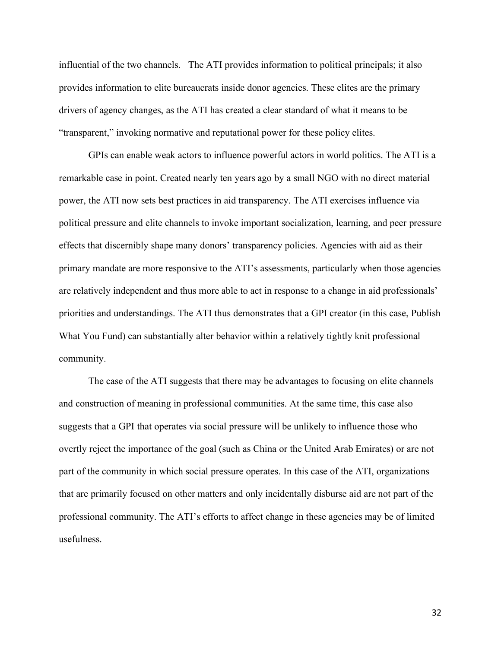influential of the two channels. The ATI provides information to political principals; it also provides information to elite bureaucrats inside donor agencies. These elites are the primary drivers of agency changes, as the ATI has created a clear standard of what it means to be "transparent," invoking normative and reputational power for these policy elites.

GPIs can enable weak actors to influence powerful actors in world politics. The ATI is a remarkable case in point. Created nearly ten years ago by a small NGO with no direct material power, the ATI now sets best practices in aid transparency. The ATI exercises influence via political pressure and elite channels to invoke important socialization, learning, and peer pressure effects that discernibly shape many donors' transparency policies. Agencies with aid as their primary mandate are more responsive to the ATI's assessments, particularly when those agencies are relatively independent and thus more able to act in response to a change in aid professionals' priorities and understandings. The ATI thus demonstrates that a GPI creator (in this case, Publish What You Fund) can substantially alter behavior within a relatively tightly knit professional community.

The case of the ATI suggests that there may be advantages to focusing on elite channels and construction of meaning in professional communities. At the same time, this case also suggests that a GPI that operates via social pressure will be unlikely to influence those who overtly reject the importance of the goal (such as China or the United Arab Emirates) or are not part of the community in which social pressure operates. In this case of the ATI, organizations that are primarily focused on other matters and only incidentally disburse aid are not part of the professional community. The ATI's efforts to affect change in these agencies may be of limited usefulness.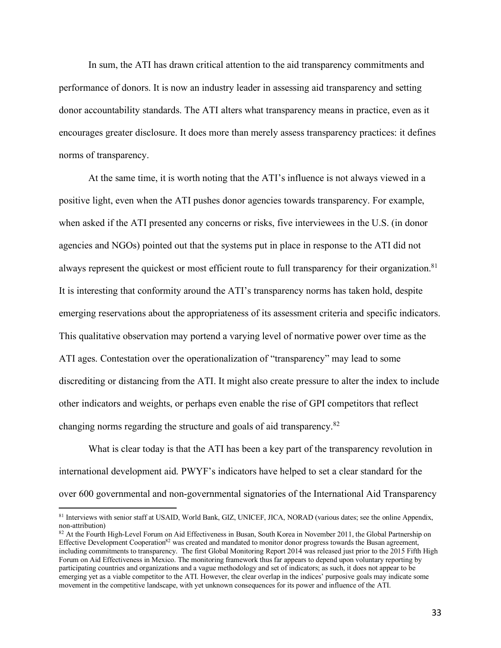In sum, the ATI has drawn critical attention to the aid transparency commitments and performance of donors. It is now an industry leader in assessing aid transparency and setting donor accountability standards. The ATI alters what transparency means in practice, even as it encourages greater disclosure. It does more than merely assess transparency practices: it defines norms of transparency.

At the same time, it is worth noting that the ATI's influence is not always viewed in a positive light, even when the ATI pushes donor agencies towards transparency. For example, when asked if the ATI presented any concerns or risks, five interviewees in the U.S. (in donor agencies and NGOs) pointed out that the systems put in place in response to the ATI did not always represent the quickest or most efficient route to full transparency for their organization.<sup>81</sup> It is interesting that conformity around the ATI's transparency norms has taken hold, despite emerging reservations about the appropriateness of its assessment criteria and specific indicators. This qualitative observation may portend a varying level of normative power over time as the ATI ages. Contestation over the operationalization of "transparency" may lead to some discrediting or distancing from the ATI. It might also create pressure to alter the index to include other indicators and weights, or perhaps even enable the rise of GPI competitors that reflect changing norms regarding the structure and goals of aid transparency.82

What is clear today is that the ATI has been a key part of the transparency revolution in international development aid. PWYF's indicators have helped to set a clear standard for the over 600 governmental and non-governmental signatories of the International Aid Transparency

<sup>81</sup> Interviews with senior staff at USAID, World Bank, GIZ, UNICEF, JICA, NORAD (various dates; see the online Appendix, non-attribution)

<sup>82</sup> At the Fourth High-Level Forum on Aid Effectiveness in Busan, South Korea in November 2011, the Global Partnership on Effective Development Cooperation<sup>82</sup> was created and mandated to monitor donor progress towards the Busan agreement, including commitments to transparency. The first Global Monitoring Report 2014 was released just prior to the 2015 Fifth High Forum on Aid Effectiveness in Mexico. The monitoring framework thus far appears to depend upon voluntary reporting by participating countries and organizations and a vague methodology and set of indicators; as such, it does not appear to be emerging yet as a viable competitor to the ATI. However, the clear overlap in the indices' purposive goals may indicate some movement in the competitive landscape, with yet unknown consequences for its power and influence of the ATI.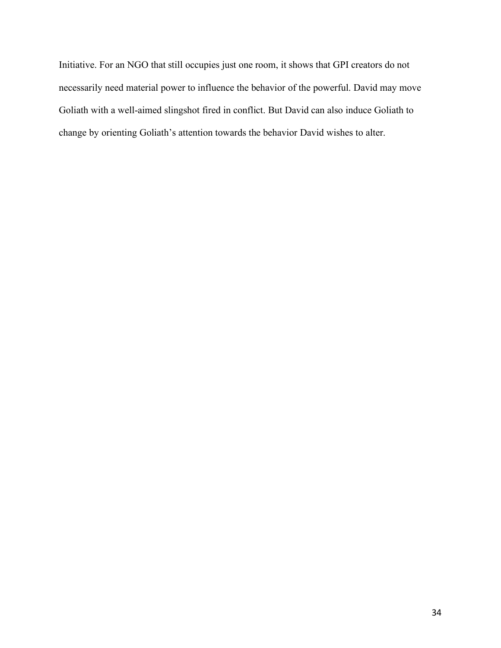Initiative. For an NGO that still occupies just one room, it shows that GPI creators do not necessarily need material power to influence the behavior of the powerful. David may move Goliath with a well-aimed slingshot fired in conflict. But David can also induce Goliath to change by orienting Goliath's attention towards the behavior David wishes to alter.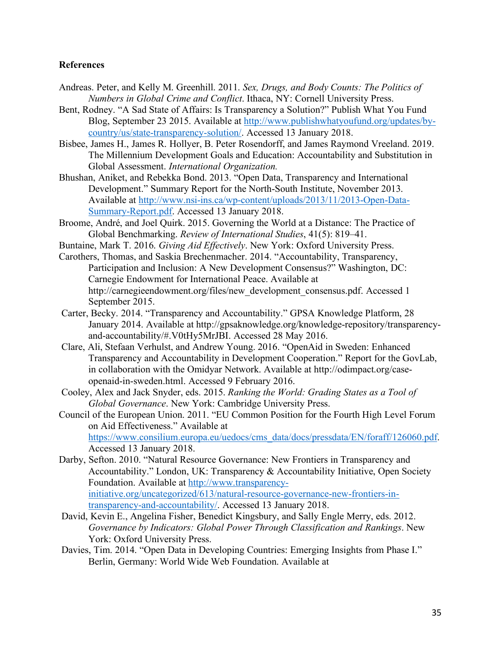# **References**

- Andreas. Peter, and Kelly M. Greenhill. 2011. *Sex, Drugs, and Body Counts: The Politics of Numbers in Global Crime and Conflict*. Ithaca, NY: Cornell University Press.
- Bent, Rodney. "A Sad State of Affairs: Is Transparency a Solution?" Publish What You Fund Blog, September 23 2015. Available at http://www.publishwhatyoufund.org/updates/bycountry/us/state-transparency-solution/. Accessed 13 January 2018.
- Bisbee, James H., James R. Hollyer, B. Peter Rosendorff, and James Raymond Vreeland. 2019. The Millennium Development Goals and Education: Accountability and Substitution in Global Assessment. *International Organization.*
- Bhushan, Aniket, and Rebekka Bond. 2013. "Open Data, Transparency and International Development." Summary Report for the North-South Institute, November 2013. Available at http://www.nsi-ins.ca/wp-content/uploads/2013/11/2013-Open-Data-Summary-Report.pdf. Accessed 13 January 2018.
- Broome, André, and Joel Quirk. 2015. Governing the World at a Distance: The Practice of Global Benchmarking. *Review of International Studies*, 41(5): 819–41.
- Buntaine, Mark T. 2016. *Giving Aid Effectively*. New York: Oxford University Press.
- Carothers, Thomas, and Saskia Brechenmacher. 2014. "Accountability, Transparency, Participation and Inclusion: A New Development Consensus?" Washington, DC: Carnegie Endowment for International Peace. Available at http://carnegieendowment.org/files/new\_development\_consensus.pdf. Accessed 1 September 2015.
- Carter, Becky. 2014. "Transparency and Accountability." GPSA Knowledge Platform, 28 January 2014. Available at http://gpsaknowledge.org/knowledge-repository/transparencyand-accountability/#.V0tHy5MrJBI. Accessed 28 May 2016.
- Clare, Ali, Stefaan Verhulst, and Andrew Young. 2016. "OpenAid in Sweden: Enhanced Transparency and Accountability in Development Cooperation." Report for the GovLab, in collaboration with the Omidyar Network. Available at http://odimpact.org/caseopenaid-in-sweden.html. Accessed 9 February 2016.
- Cooley, Alex and Jack Snyder, eds. 2015. *Ranking the World: Grading States as a Tool of Global Governance*. New York: Cambridge University Press.
- Council of the European Union. 2011. "EU Common Position for the Fourth High Level Forum on Aid Effectiveness." Available at https://www.consilium.europa.eu/uedocs/cms\_data/docs/pressdata/EN/foraff/126060.pdf. Accessed 13 January 2018.
- Darby, Sefton. 2010. "Natural Resource Governance: New Frontiers in Transparency and Accountability." London, UK: Transparency & Accountability Initiative, Open Society Foundation. Available at http://www.transparencyinitiative.org/uncategorized/613/natural-resource-governance-new-frontiers-intransparency-and-accountability/. Accessed 13 January 2018.
- David, Kevin E., Angelina Fisher, Benedict Kingsbury, and Sally Engle Merry, eds. 2012. *Governance by Indicators: Global Power Through Classification and Rankings*. New York: Oxford University Press.
- Davies, Tim. 2014. "Open Data in Developing Countries: Emerging Insights from Phase I." Berlin, Germany: World Wide Web Foundation. Available at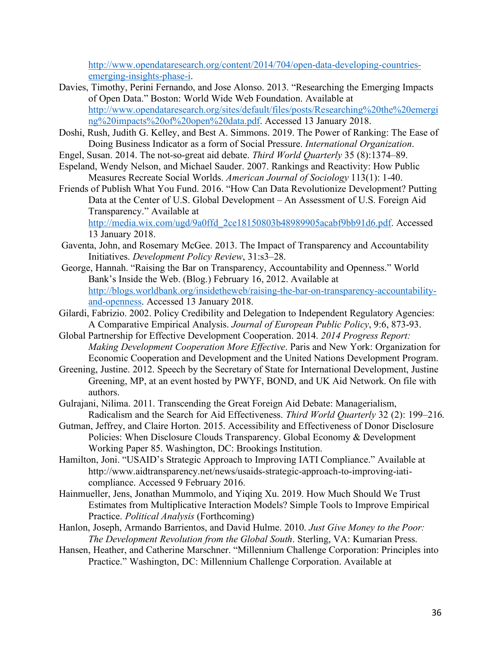http://www.opendataresearch.org/content/2014/704/open-data-developing-countriesemerging-insights-phase-i.

- Davies, Timothy, Perini Fernando, and Jose Alonso. 2013. "Researching the Emerging Impacts of Open Data." Boston: World Wide Web Foundation. Available at http://www.opendataresearch.org/sites/default/files/posts/Researching%20the%20emergi ng%20impacts%20of%20open%20data.pdf. Accessed 13 January 2018.
- Doshi, Rush, Judith G. Kelley, and Best A. Simmons. 2019. The Power of Ranking: The Ease of Doing Business Indicator as a form of Social Pressure. *International Organization*.
- Engel, Susan. 2014. The not-so-great aid debate. *Third World Quarterly* 35 (8):1374–89.
- Espeland, Wendy Nelson, and Michael Sauder. 2007. Rankings and Reactivity: How Public Measures Recreate Social Worlds. *American Journal of Sociology* 113(1): 1-40.
- Friends of Publish What You Fund. 2016. "How Can Data Revolutionize Development? Putting Data at the Center of U.S. Global Development – An Assessment of U.S. Foreign Aid Transparency." Available at http://media.wix.com/ugd/9a0ffd\_2ce18150803b48989905acabf9bb91d6.pdf. Accessed

13 January 2018.

- Gaventa, John, and Rosemary McGee. 2013. The Impact of Transparency and Accountability Initiatives. *Development Policy Review*, 31:s3–28.
- George, Hannah. "Raising the Bar on Transparency, Accountability and Openness." World Bank's Inside the Web. (Blog.) February 16, 2012. Available at http://blogs.worldbank.org/insidetheweb/raising-the-bar-on-transparency-accountabilityand-openness. Accessed 13 January 2018.
- Gilardi, Fabrizio. 2002. Policy Credibility and Delegation to Independent Regulatory Agencies: A Comparative Empirical Analysis. *Journal of European Public Policy*, 9:6, 873-93.
- Global Partnership for Effective Development Cooperation. 2014. *2014 Progress Report: Making Development Cooperation More Effective*. Paris and New York: Organization for Economic Cooperation and Development and the United Nations Development Program.
- Greening, Justine. 2012. Speech by the Secretary of State for International Development, Justine Greening, MP, at an event hosted by PWYF, BOND, and UK Aid Network. On file with authors.
- Gulrajani, Nilima. 2011. Transcending the Great Foreign Aid Debate: Managerialism, Radicalism and the Search for Aid Effectiveness. *Third World Quarterly* 32 (2): 199–216.
- Gutman, Jeffrey, and Claire Horton. 2015. Accessibility and Effectiveness of Donor Disclosure Policies: When Disclosure Clouds Transparency. Global Economy & Development Working Paper 85. Washington, DC: Brookings Institution.
- Hamilton, Joni. "USAID's Strategic Approach to Improving IATI Compliance." Available at http://www.aidtransparency.net/news/usaids-strategic-approach-to-improving-iaticompliance. Accessed 9 February 2016.
- Hainmueller, Jens, Jonathan Mummolo, and Yiqing Xu. 2019. How Much Should We Trust Estimates from Multiplicative Interaction Models? Simple Tools to Improve Empirical Practice. *Political Analysis* (Forthcoming)
- Hanlon, Joseph, Armando Barrientos, and David Hulme. 2010. *Just Give Money to the Poor: The Development Revolution from the Global South*. Sterling, VA: Kumarian Press.
- Hansen, Heather, and Catherine Marschner. "Millennium Challenge Corporation: Principles into Practice." Washington, DC: Millennium Challenge Corporation. Available at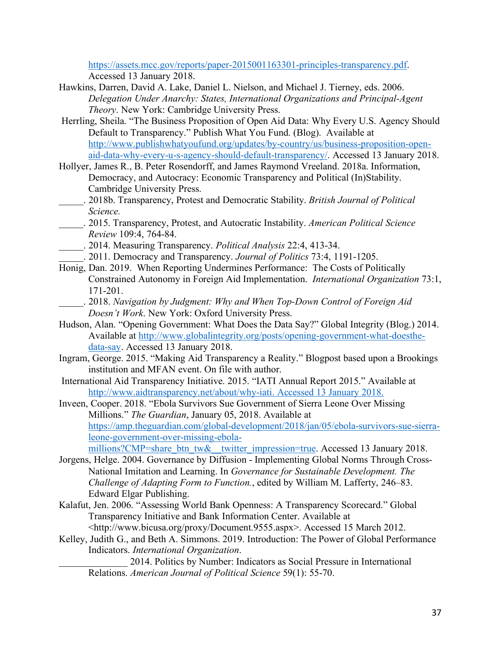https://assets.mcc.gov/reports/paper-2015001163301-principles-transparency.pdf. Accessed 13 January 2018.

- Hawkins, Darren, David A. Lake, Daniel L. Nielson, and Michael J. Tierney, eds. 2006. *Delegation Under Anarchy: States, International Organizations and Principal-Agent Theory*. New York: Cambridge University Press.
- Herrling, Sheila. "The Business Proposition of Open Aid Data: Why Every U.S. Agency Should Default to Transparency." Publish What You Fund. (Blog). Available at http://www.publishwhatyoufund.org/updates/by-country/us/business-proposition-openaid-data-why-every-u-s-agency-should-default-transparency/. Accessed 13 January 2018.
- Hollyer, James R., B. Peter Rosendorff, and James Raymond Vreeland. 2018a. Information, Democracy, and Autocracy: Economic Transparency and Political (In)Stability. Cambridge University Press.
- \_\_\_\_\_. 2018b. Transparency, Protest and Democratic Stability. *British Journal of Political Science.*
- \_\_\_\_\_. 2015. Transparency, Protest, and Autocratic Instability. *American Political Science Review* 109:4, 764-84.
	- \_\_\_\_\_. 2014. Measuring Transparency. *Political Analysis* 22:4, 413-34.
- \_\_\_\_\_. 2011. Democracy and Transparency. *Journal of Politics* 73:4, 1191-1205.
- Honig, Dan. 2019. When Reporting Undermines Performance: The Costs of Politically Constrained Autonomy in Foreign Aid Implementation. *International Organization* 73:1, 171-201.
	- \_\_\_\_\_. 2018. *Navigation by Judgment: Why and When Top-Down Control of Foreign Aid Doesn't Work*. New York: Oxford University Press.
- Hudson, Alan. "Opening Government: What Does the Data Say?" Global Integrity (Blog.) 2014. Available at http://www.globalintegrity.org/posts/opening-government-what-doesthedata-say. Accessed 13 January 2018.
- Ingram, George. 2015. "Making Aid Transparency a Reality." Blogpost based upon a Brookings institution and MFAN event. On file with author.
- International Aid Transparency Initiative. 2015. "IATI Annual Report 2015." Available at http://www.aidtransparency.net/about/why-iati. Accessed 13 January 2018.
- Inveen, Cooper. 2018. "Ebola Survivors Sue Government of Sierra Leone Over Missing Millions." *The Guardian*, January 05, 2018. Available at https://amp.theguardian.com/global-development/2018/jan/05/ebola-survivors-sue-sierraleone-government-over-missing-ebolamillions?CMP=share\_btn\_tw&\_\_twitter\_impression=true. Accessed 13 January 2018.
- Jorgens, Helge. 2004. Governance by Diffusion Implementing Global Norms Through Cross-National Imitation and Learning. In *Governance for Sustainable Development. The Challenge of Adapting Form to Function.*, edited by William M. Lafferty, 246–83. Edward Elgar Publishing.
- Kalafut, Jen. 2006. "Assessing World Bank Openness: A Transparency Scorecard." Global Transparency Initiative and Bank Information Center. Available at <http://www.bicusa.org/proxy/Document.9555.aspx>. Accessed 15 March 2012.
- Kelley, Judith G., and Beth A. Simmons. 2019. Introduction: The Power of Global Performance Indicators. *International Organization*.

2014. Politics by Number: Indicators as Social Pressure in International Relations. *American Journal of Political Science* 59(1): 55-70.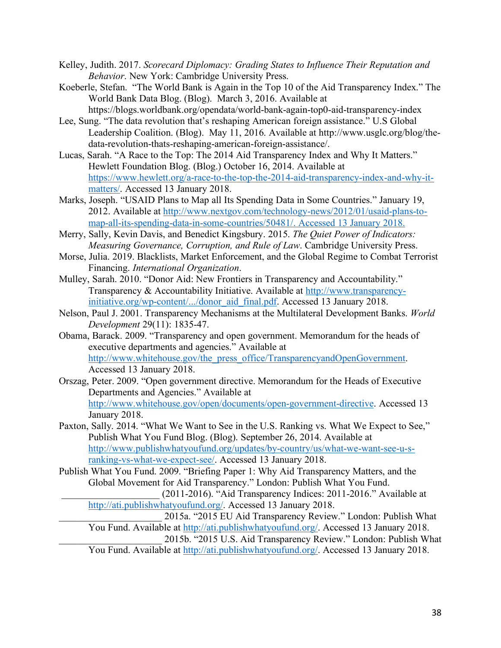- Kelley, Judith. 2017. *Scorecard Diplomacy: Grading States to Influence Their Reputation and Behavior*. New York: Cambridge University Press.
- Koeberle, Stefan. "The World Bank is Again in the Top 10 of the Aid Transparency Index." The World Bank Data Blog. (Blog). March 3, 2016. Available at https://blogs.worldbank.org/opendata/world-bank-again-top0-aid-transparency-index
- Lee, Sung. "The data revolution that's reshaping American foreign assistance." U.S Global Leadership Coalition. (Blog). May 11, 2016. Available at http://www.usglc.org/blog/thedata-revolution-thats-reshaping-american-foreign-assistance/.
- Lucas, Sarah. "A Race to the Top: The 2014 Aid Transparency Index and Why It Matters." Hewlett Foundation Blog. (Blog.) October 16, 2014. Available at https://www.hewlett.org/a-race-to-the-top-the-2014-aid-transparency-index-and-why-itmatters/. Accessed 13 January 2018.
- Marks, Joseph. "USAID Plans to Map all Its Spending Data in Some Countries." January 19, 2012. Available at http://www.nextgov.com/technology-news/2012/01/usaid-plans-tomap-all-its-spending-data-in-some-countries/50481/. Accessed 13 January 2018.
- Merry, Sally, Kevin Davis, and Benedict Kingsbury. 2015. *The Quiet Power of Indicators: Measuring Governance, Corruption, and Rule of Law*. Cambridge University Press.
- Morse, Julia. 2019. Blacklists, Market Enforcement, and the Global Regime to Combat Terrorist Financing. *International Organization*.
- Mulley, Sarah. 2010. "Donor Aid: New Frontiers in Transparency and Accountability." Transparency & Accountability Initiative. Available at http://www.transparencyinitiative.org/wp-content/.../donor\_aid\_final.pdf. Accessed 13 January 2018.
- Nelson, Paul J. 2001. Transparency Mechanisms at the Multilateral Development Banks. *World Development* 29(11): 1835-47.
- Obama, Barack. 2009. "Transparency and open government. Memorandum for the heads of executive departments and agencies." Available at http://www.whitehouse.gov/the\_press\_office/TransparencyandOpenGovernment. Accessed 13 January 2018.
- Orszag, Peter. 2009. "Open government directive. Memorandum for the Heads of Executive Departments and Agencies." Available at http://www.whitehouse.gov/open/documents/open-government-directive. Accessed 13 January 2018.
- Paxton, Sally. 2014. "What We Want to See in the U.S. Ranking vs. What We Expect to See," Publish What You Fund Blog. (Blog). September 26, 2014. Available at http://www.publishwhatyoufund.org/updates/by-country/us/what-we-want-see-u-sranking-vs-what-we-expect-see/. Accessed 13 January 2018.
- Publish What You Fund. 2009. "Briefing Paper 1: Why Aid Transparency Matters, and the Global Movement for Aid Transparency." London: Publish What You Fund.

 $(2011-2016)$ . "Aid Transparency Indices: 2011-2016." Available at http://ati.publishwhatyoufund.org/. Accessed 13 January 2018.

\_\_\_\_\_\_\_\_\_\_\_\_\_\_\_\_\_\_\_\_\_ 2015a. "2015 EU Aid Transparency Review." London: Publish What You Fund. Available at http://ati.publishwhatyoufund.org/. Accessed 13 January 2018. 2015b. "2015 U.S. Aid Transparency Review." London: Publish What You Fund. Available at http://ati.publishwhatyoufund.org/. Accessed 13 January 2018.

38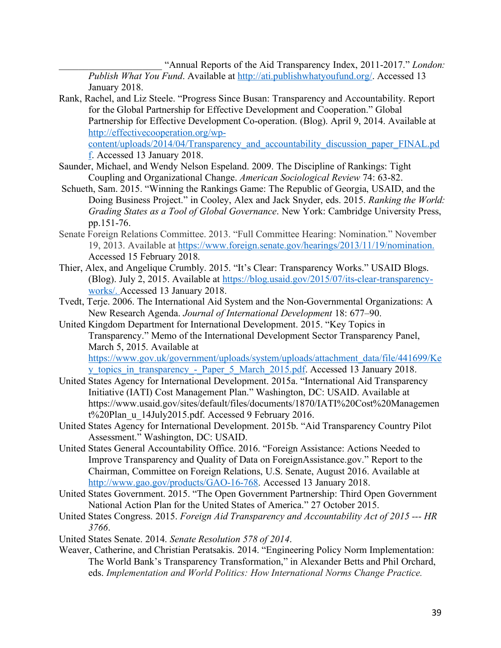\_\_\_\_\_\_\_\_\_\_\_\_\_\_\_\_\_\_\_\_\_ "Annual Reports of the Aid Transparency Index, 2011-2017." *London: Publish What You Fund.* Available at http://ati.publishwhatyoufund.org/. Accessed 13 January 2018.

- Rank, Rachel, and Liz Steele. "Progress Since Busan: Transparency and Accountability. Report for the Global Partnership for Effective Development and Cooperation." Global Partnership for Effective Development Co-operation. (Blog). April 9, 2014. Available at http://effectivecooperation.org/wpcontent/uploads/2014/04/Transparency\_and\_accountability\_discussion\_paper\_FINAL.pd f. Accessed 13 January 2018.
- Saunder, Michael, and Wendy Nelson Espeland. 2009. The Discipline of Rankings: Tight Coupling and Organizational Change. *American Sociological Review* 74: 63-82.
- Schueth, Sam. 2015. "Winning the Rankings Game: The Republic of Georgia, USAID, and the Doing Business Project." in Cooley, Alex and Jack Snyder, eds. 2015. *Ranking the World: Grading States as a Tool of Global Governance*. New York: Cambridge University Press, pp.151-76.
- Senate Foreign Relations Committee. 2013. "Full Committee Hearing: Nomination." November 19, 2013. Available at https://www.foreign.senate.gov/hearings/2013/11/19/nomination. Accessed 15 February 2018.
- Thier, Alex, and Angelique Crumbly. 2015. "It's Clear: Transparency Works." USAID Blogs. (Blog). July 2, 2015. Available at https://blog.usaid.gov/2015/07/its-clear-transparencyworks/. Accessed 13 January 2018.
- Tvedt, Terje. 2006. The International Aid System and the Non-Governmental Organizations: A New Research Agenda. *Journal of International Development* 18: 677–90.
- United Kingdom Department for International Development. 2015. "Key Topics in Transparency." Memo of the International Development Sector Transparency Panel, March 5, 2015. Available at https://www.gov.uk/government/uploads/system/uploads/attachment\_data/file/441699/Ke y\_topics\_in\_transparency\_-\_Paper\_5\_March\_2015.pdf. Accessed 13 January 2018.
- United States Agency for International Development. 2015a. "International Aid Transparency Initiative (IATI) Cost Management Plan." Washington, DC: USAID. Available at https://www.usaid.gov/sites/default/files/documents/1870/IATI%20Cost%20Managemen t%20Plan\_u\_14July2015.pdf. Accessed 9 February 2016.
- United States Agency for International Development. 2015b. "Aid Transparency Country Pilot Assessment." Washington, DC: USAID.
- United States General Accountability Office. 2016. "Foreign Assistance: Actions Needed to Improve Transparency and Quality of Data on ForeignAssistance.gov." Report to the Chairman, Committee on Foreign Relations, U.S. Senate, August 2016. Available at http://www.gao.gov/products/GAO-16-768. Accessed 13 January 2018.
- United States Government. 2015. "The Open Government Partnership: Third Open Government National Action Plan for the United States of America." 27 October 2015.
- United States Congress. 2015. *Foreign Aid Transparency and Accountability Act of 2015 --- HR 3766*.
- United States Senate. 2014. *Senate Resolution 578 of 2014*.
- Weaver, Catherine, and Christian Peratsakis. 2014. "Engineering Policy Norm Implementation: The World Bank's Transparency Transformation," in Alexander Betts and Phil Orchard, eds. *Implementation and World Politics: How International Norms Change Practice.*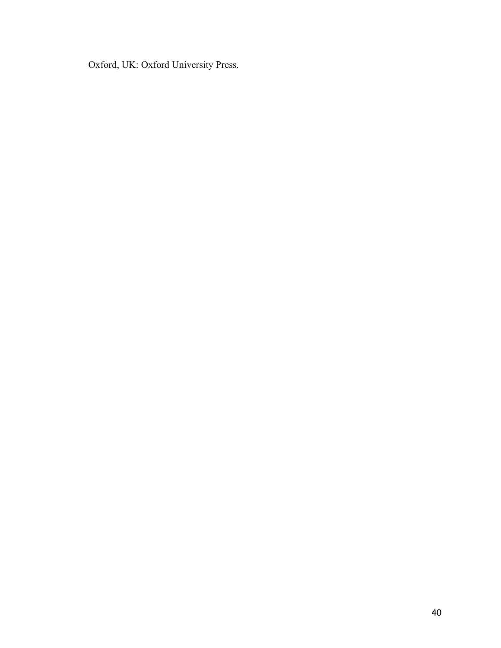Oxford, UK: Oxford University Press.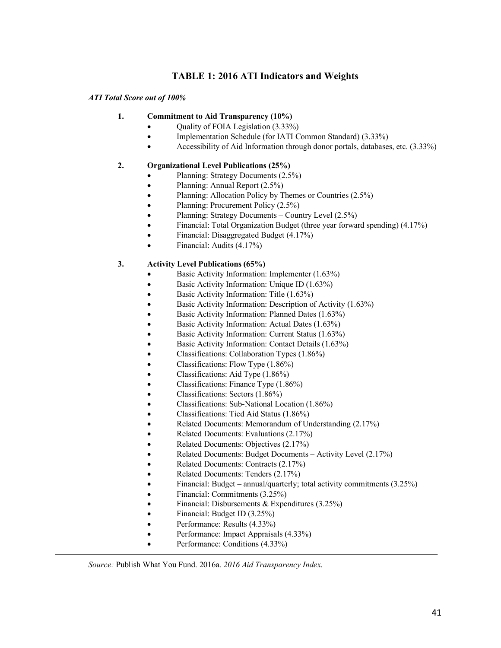# **TABLE 1: 2016 ATI Indicators and Weights**

#### *ATI Total Score out of 100%*

#### **1. Commitment to Aid Transparency (10%)**

- Quality of FOIA Legislation (3.33%)
- Implementation Schedule (for IATI Common Standard) (3.33%)
- Accessibility of Aid Information through donor portals, databases, etc. (3.33%)

#### **2. Organizational Level Publications (25%)**

- Planning: Strategy Documents (2.5%)
- Planning: Annual Report (2.5%)
- Planning: Allocation Policy by Themes or Countries (2.5%)
- Planning: Procurement Policy (2.5%)
- Planning: Strategy Documents Country Level (2.5%)
- Financial: Total Organization Budget (three year forward spending) (4.17%)
- Financial: Disaggregated Budget (4.17%)
- Financial: Audits (4.17%)

#### **3. Activity Level Publications (65%)**

- Basic Activity Information: Implementer (1.63%)
- Basic Activity Information: Unique ID (1.63%)
- Basic Activity Information: Title (1.63%)
- Basic Activity Information: Description of Activity (1.63%)
- Basic Activity Information: Planned Dates (1.63%)
- Basic Activity Information: Actual Dates (1.63%)
- Basic Activity Information: Current Status (1.63%)
- Basic Activity Information: Contact Details (1.63%)
- Classifications: Collaboration Types (1.86%)
- Classifications: Flow Type (1.86%)
- Classifications: Aid Type (1.86%)
- Classifications: Finance Type (1.86%)
- Classifications: Sectors (1.86%)
- Classifications: Sub-National Location (1.86%)
- Classifications: Tied Aid Status (1.86%)
- Related Documents: Memorandum of Understanding (2.17%)
- Related Documents: Evaluations (2.17%)
- Related Documents: Objectives (2.17%)
- Related Documents: Budget Documents Activity Level (2.17%)
- Related Documents: Contracts (2.17%)
- Related Documents: Tenders (2.17%)
- Financial: Budget annual/quarterly; total activity commitments (3.25%)
- Financial: Commitments (3.25%)
- Financial: Disbursements & Expenditures (3.25%)
- Financial: Budget ID (3.25%)
- Performance: Results (4.33%)
- Performance: Impact Appraisals (4.33%)
- Performance: Conditions (4.33%)

#### *Source:* Publish What You Fund. 2016a. *2016 Aid Transparency Index*.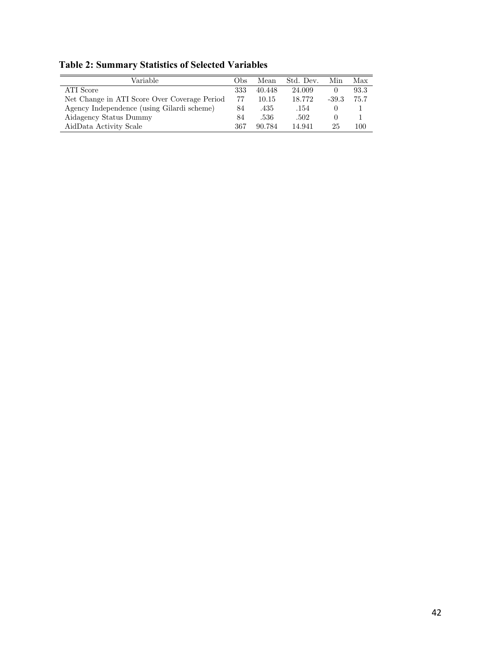| Variable                                     | Obs | Mean   | Std. Dev. | Min      | Max  |
|----------------------------------------------|-----|--------|-----------|----------|------|
| ATI Score                                    | 333 | 40.448 | 24.009    |          | 93.3 |
| Net Change in ATI Score Over Coverage Period | 77  | 10.15  | 18.772    | $-39.3$  | 75.7 |
| Agency Independence (using Gilardi scheme)   | 84  | .435   | .154      |          |      |
| Aidagency Status Dummy                       | 84  | .536   | .502      | $\theta$ |      |
| AidData Activity Scale                       | 367 | 90.784 | 14.941    | 25       | 100  |

**Table 2: Summary Statistics of Selected Variables**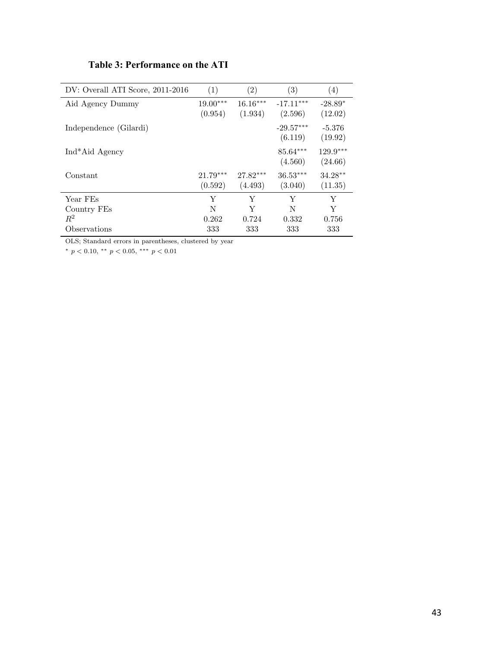| DV: Overall ATI Score, 2011-2016 | (1)                   | (2)                   | (3)                    | $\left( 4\right)$     |
|----------------------------------|-----------------------|-----------------------|------------------------|-----------------------|
| Aid Agency Dummy                 | $19.00***$<br>(0.954) | $16.16***$<br>(1.934) | $-17.11***$<br>(2.596) | $-28.89*$<br>(12.02)  |
| Independence (Gilardi)           |                       |                       | $-29.57***$<br>(6.119) | $-5.376$<br>(19.92)   |
| Ind*Aid Agency                   |                       |                       | 85.64***<br>(4.560)    | $129.9***$<br>(24.66) |
| Constant                         | $21.79***$<br>(0.592) | $27.82***$<br>(4.493) | $36.53***$<br>(3.040)  | $34.28***$<br>(11.35) |
| Year FEs                         | Y                     | Y                     | Y                      | Y                     |
| Country FEs                      | N                     | Y                     | N                      | Y                     |
| $R^2$                            | 0.262                 | 0.724                 | 0.332                  | 0.756                 |
| Observations                     | 333                   | 333                   | 333                    | 333                   |

# **Table 3: Performance on the ATI**

OLS; Standard errors in parentheses, clustered by year

 $*$   $p$   $<$  0.10,  $*$   $*$   $p$   $<$  0.05,  $*$   $*$   $*$   $p$   $<$  0.01  $\,$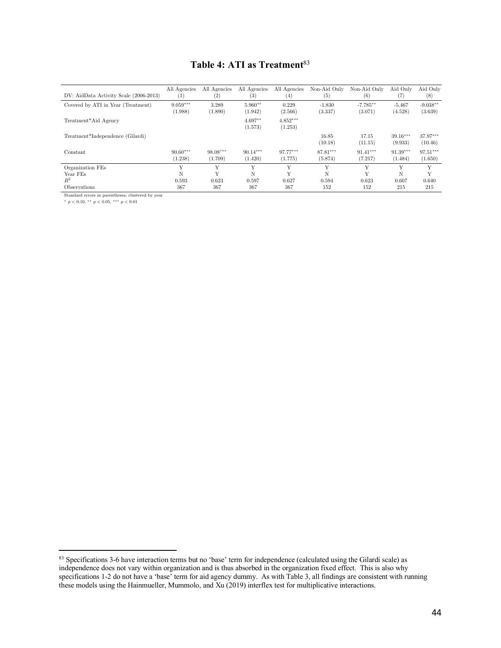# **Table 4: ATI as Treatment**<sup>83</sup>

| DV: AidData Activity Scale (2006-2013) | All Agencies<br>(1)   | All Agencies<br>(2)   | All Agencies<br>(3)   | All Agencies<br>$^{(4)}$ | Non-Aid Only<br>$\left(5\right)$ | Non-Aid Only<br>(6)    | Aid Only<br>(7)       | Aid Only<br>$^{(8)}$  |
|----------------------------------------|-----------------------|-----------------------|-----------------------|--------------------------|----------------------------------|------------------------|-----------------------|-----------------------|
| Covered by ATI in Year (Treatment)     | $9.059***$<br>(1.988) | 3.289<br>(1.890)      | $5.960**$<br>(1.942)  | 0.229<br>(2.566)         | $-1.830$<br>(3.337)              | $-7.785***$<br>(3.071) | $-5.467$<br>(4.528)   | $-9.038**$<br>(3.639) |
| Treatment*Aid Agency                   |                       |                       | $4.697**$<br>(1.573)  | $4.852***$<br>(1.253)    |                                  |                        |                       |                       |
| Treatment*Independence (Gilardi)       |                       |                       |                       |                          | 16.85<br>(10.18)                 | 17.15<br>(11.15)       | $39.16***$<br>(9.933) | $37.97***$<br>(10.46) |
| Constant                               | $90.60***$<br>(1.238) | $98.08***$<br>(1.709) | $90.14***$<br>(1.420) | $97.77***$<br>(1.775)    | 87.81***<br>(5.874)              | $91.41***$<br>(7.217)  | $91.39***$<br>(1.484) | $97.51***$<br>(1.650) |
| Organization FEs                       | $\mathbf{v}$          | Y                     | Y                     | Y                        | Υ                                | Y                      | Y                     | Y                     |
| Year FEs                               | N                     | Y                     | N                     | Y                        | N                                | Y                      | N                     | Y                     |
| $R^2$                                  | 0.593                 | 0.623                 | 0.597                 | 0.627                    | 0.594                            | 0.623                  | 0.607                 | 0.640                 |
| Observations                           | 367                   | 367                   | 367                   | 367                      | 152                              | 152                    | 215                   | 215                   |

Standard errors in parentheses, clustered by year<br>  $* p < 0.10, ** p < 0.05, ** p < 0.01$ 

<sup>83</sup> Specifications 3-6 have interaction terms but no 'base' term for independence (calculated using the Gilardi scale) as independence does not vary within organization and is thus absorbed in the organization fixed effect. This is also why specifications 1-2 do not have a 'base' term for aid agency dummy. As with Table 3, all findings are consistent with running these models using the Hainmueller, Mummolo, and Xu (2019) interflex test for multiplicative interactions.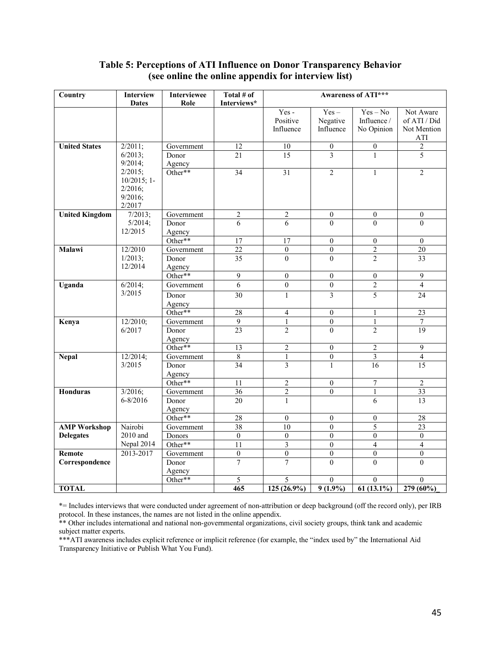| Country               | <b>Interview</b><br><b>Dates</b>                             | Interviewee<br>Role | Total # of<br>Interviews* | <b>Awareness of ATI***</b>    |                                  |                                         |                                                 |
|-----------------------|--------------------------------------------------------------|---------------------|---------------------------|-------------------------------|----------------------------------|-----------------------------------------|-------------------------------------------------|
|                       |                                                              |                     |                           | Yes-<br>Positive<br>Influence | $Yes -$<br>Negative<br>Influence | $Yes - No$<br>Influence /<br>No Opinion | Not Aware<br>of ATI / Did<br>Not Mention<br>ATI |
| <b>United States</b>  | $2/2011$ ;                                                   | Government          | $\overline{12}$           | 10                            | $\overline{0}$                   | $\overline{0}$                          | $\sqrt{2}$                                      |
|                       | $6/2013$ ;<br>9/2014;                                        | Donor<br>Agency     | 21                        | $\overline{15}$               | $\overline{3}$                   | $\mathbf{1}$                            | 5                                               |
|                       | $2/2015$ ;<br>$10/2015$ ; 1-<br>2/2016;<br>9/2016;<br>2/2017 | Other**             | 34                        | 31                            | $\overline{2}$                   | $\mathbf{1}$                            | $\overline{2}$                                  |
| <b>United Kingdom</b> | 7/2013;                                                      | Government          | $\overline{2}$            | $\overline{2}$                | $\mathbf{0}$                     | $\overline{0}$                          | $\overline{0}$                                  |
|                       | 5/2014;<br>12/2015                                           | Donor<br>Agency     | 6                         | 6                             | $\Omega$                         | $\theta$                                | $\Omega$                                        |
|                       |                                                              | Other**             | 17                        | 17                            | $\mathbf{0}$                     | $\boldsymbol{0}$                        | $\overline{0}$                                  |
| Malawi                | 12/2010                                                      | Government          | $\overline{22}$           | $\overline{0}$                | $\overline{0}$                   | $\overline{2}$                          | 20                                              |
|                       | $1/2013$ ;<br>12/2014                                        | Donor<br>Agency     | 35                        | $\overline{0}$                | $\theta$                         | $\overline{2}$                          | $\overline{33}$                                 |
|                       |                                                              | Other**             | 9                         | $\boldsymbol{0}$              | $\boldsymbol{0}$                 | $\boldsymbol{0}$                        | $\overline{9}$                                  |
| Uganda                | 6/2014;                                                      | Government          | $\overline{6}$            | $\overline{0}$                | $\overline{0}$                   | $\overline{2}$                          | $\overline{4}$                                  |
|                       | 3/2015                                                       | Donor<br>Agency     | 30                        | $\mathbf{1}$                  | 3                                | 5                                       | 24                                              |
|                       |                                                              | Other**             | $\overline{28}$           | $\overline{4}$                | $\mathbf{0}$                     | $\mathbf{1}$                            | $\overline{23}$                                 |
| Kenya                 | 12/2010;                                                     | Government          | 9                         | $\mathbf{1}$                  | $\mathbf{0}$                     | $\mathbf{1}$                            | $\overline{7}$                                  |
|                       | 6/2017                                                       | Donor<br>Agency     | $\overline{23}$           | $\overline{c}$                | $\Omega$                         | $\overline{2}$                          | $\overline{19}$                                 |
|                       |                                                              | Other**             | $\overline{13}$           | $\overline{c}$                | $\mathbf{0}$                     | $\overline{2}$                          | $\overline{9}$                                  |
| <b>Nepal</b>          | $12/2014$ ;                                                  | Government          | $\overline{8}$            | $\mathbf{1}$                  | $\boldsymbol{0}$                 | $\overline{3}$                          | $\overline{4}$                                  |
|                       | 3/2015                                                       | Donor<br>Agency     | 34                        | 3                             | $\mathbf{1}$                     | 16                                      | 15                                              |
|                       |                                                              | Other**             | 11                        | $\overline{2}$                | $\mathbf{0}$                     | $\overline{7}$                          | $\overline{c}$                                  |
| Honduras              | 3/2016;                                                      | Government          | 36                        | $\overline{c}$                | $\mathbf{0}$                     | 1                                       | 33                                              |
|                       | $6 - 8/2016$                                                 | Donor<br>Agency     | 20                        | $\mathbf{1}$                  |                                  | 6                                       | 13                                              |
|                       |                                                              | Other**             | 28                        | $\boldsymbol{0}$              | $\boldsymbol{0}$                 | $\boldsymbol{0}$                        | 28                                              |
| <b>AMP Workshop</b>   | Nairobi                                                      | Government          | $\overline{38}$           | 10                            | $\mathbf{0}$                     | 5                                       | $\overline{23}$                                 |
| <b>Delegates</b>      | 2010 and                                                     | <b>Donors</b>       | $\mathbf{0}$              | $\overline{0}$                | $\theta$                         | $\theta$                                | $\theta$                                        |
|                       | Nepal 2014                                                   | Other**             | $\overline{11}$           | $\overline{\mathbf{3}}$       | $\overline{0}$                   | $\overline{4}$                          | $\overline{4}$                                  |
| <b>Remote</b>         | 2013-2017                                                    | Government          | $\boldsymbol{0}$          | $\boldsymbol{0}$              | $\overline{0}$                   | $\overline{0}$                          | $\overline{0}$                                  |
| Correspondence        |                                                              | Donor               | $\tau$                    | $\overline{7}$                | $\theta$                         | $\theta$                                | $\overline{0}$                                  |
|                       |                                                              | Agency              |                           |                               |                                  |                                         |                                                 |
|                       |                                                              | Other**             | 5<br>465                  | 5                             | $\theta$<br>$9(1.9\%)$           | $\theta$                                | $\overline{0}$<br>$279(60\%)$                   |
| <b>TOTAL</b>          |                                                              |                     |                           | $125(26.9\%)$                 |                                  | $61(13.1\%)$                            |                                                 |

# **Table 5: Perceptions of ATI Influence on Donor Transparency Behavior (see online the online appendix for interview list)**

\*= Includes interviews that were conducted under agreement of non-attribution or deep background (off the record only), per IRB protocol. In these instances, the names are not listed in the online appendix.

\*\*\*ATI awareness includes explicit reference or implicit reference (for example, the "index used by" the International Aid Transparency Initiative or Publish What You Fund).

<sup>\*\*</sup> Other includes international and national non-governmental organizations, civil society groups, think tank and academic subject matter experts.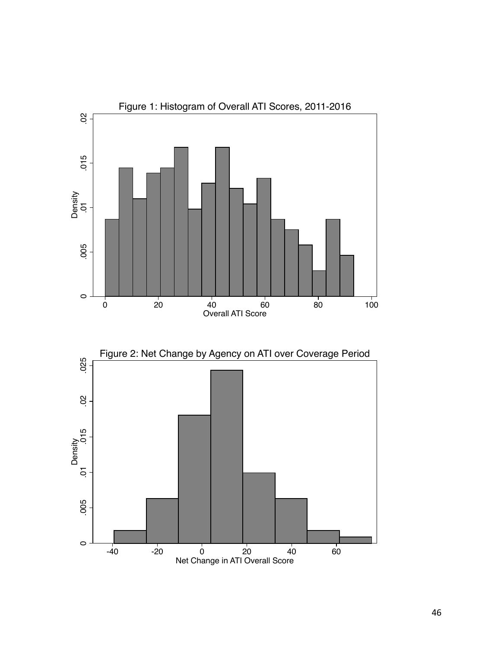